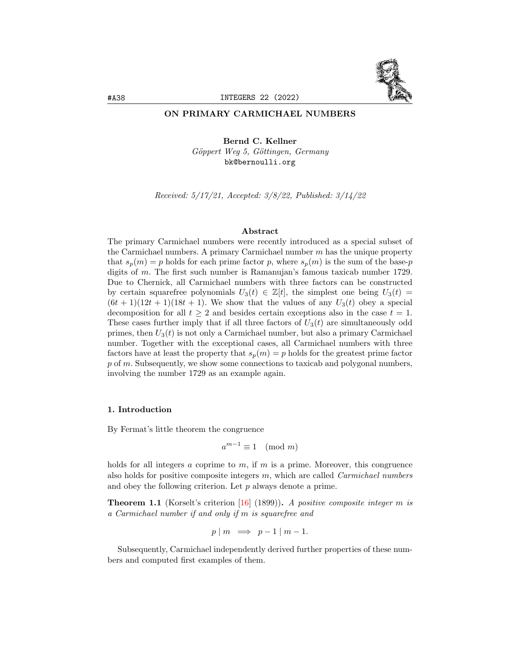

## ON PRIMARY CARMICHAEL NUMBERS

Bernd C. Kellner Göppert Weg 5, Göttingen, Germany bk@bernoulli.org

Received: 5/17/21, Accepted: 3/8/22, Published: 3/14/22

## Abstract

The primary Carmichael numbers were recently introduced as a special subset of the Carmichael numbers. A primary Carmichael number  $m$  has the unique property that  $s_p(m) = p$  holds for each prime factor p, where  $s_p(m)$  is the sum of the base-p digits of m. The first such number is Ramanujan's famous taxicab number 1729. Due to Chernick, all Carmichael numbers with three factors can be constructed by certain squarefree polynomials  $U_3(t) \in \mathbb{Z}[t]$ , the simplest one being  $U_3(t) =$  $(6t + 1)(12t + 1)(18t + 1)$ . We show that the values of any  $U_3(t)$  obey a special decomposition for all  $t \geq 2$  and besides certain exceptions also in the case  $t = 1$ . These cases further imply that if all three factors of  $U_3(t)$  are simultaneously odd primes, then  $U_3(t)$  is not only a Carmichael number, but also a primary Carmichael number. Together with the exceptional cases, all Carmichael numbers with three factors have at least the property that  $s_p(m) = p$  holds for the greatest prime factor p of m. Subsequently, we show some connections to taxicab and polygonal numbers, involving the number 1729 as an example again.

## 1. Introduction

By Fermat's little theorem the congruence

$$
a^{m-1} \equiv 1 \pmod{m}
$$

holds for all integers a coprime to  $m$ , if  $m$  is a prime. Moreover, this congruence also holds for positive composite integers  $m$ , which are called *Carmichael numbers* and obey the following criterion. Let p always denote a prime.

**Theorem 1.1** (Korselt's criterion [\[16\]](#page-38-0) (1899)). A positive composite integer m is a Carmichael number if and only if m is squarefree and

$$
p \mid m \implies p-1 \mid m-1.
$$

Subsequently, Carmichael independently derived further properties of these numbers and computed first examples of them.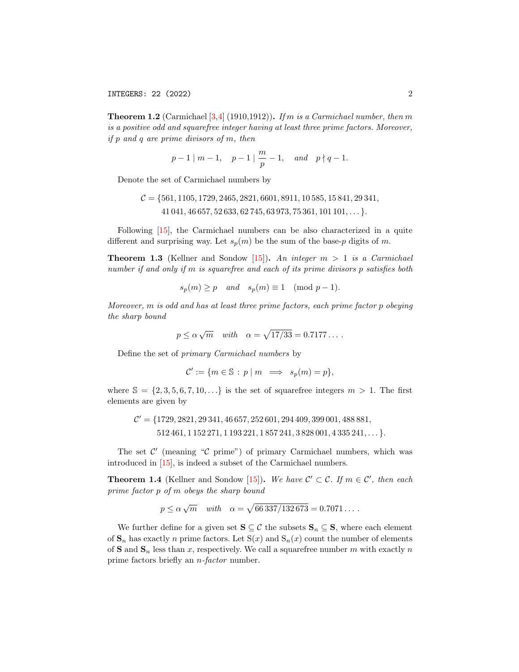**Theorem 1.2** (Carmichael  $[3,4]$  $[3,4]$  (1910,1912)). If m is a Carmichael number, then m is a positive odd and squarefree integer having at least three prime factors. Moreover, if p and q are prime divisors of m, then

$$
p-1 \mid m-1, \quad p-1 \mid \frac{m}{p}-1, \quad and \quad p \nmid q-1.
$$

Denote the set of Carmichael numbers by

$$
C = \{561, 1105, 1729, 2465, 2821, 6601, 8911, 10585, 15841, 29341, 41041, 46657, 52633, 62745, 63973, 75361, 101101, ... \}.
$$

Following [\[15\]](#page-38-3), the Carmichael numbers can be also characterized in a quite different and surprising way. Let  $s_n(m)$  be the sum of the base-p digits of m.

<span id="page-1-0"></span>**Theorem 1.3** (Kellner and Sondow [\[15\]](#page-38-3)). An integer  $m > 1$  is a Carmichael number if and only if m is squarefree and each of its prime divisors p satisfies both

$$
s_p(m) \ge p
$$
 and  $s_p(m) \equiv 1 \pmod{p-1}$ .

Moreover, m is odd and has at least three prime factors, each prime factor p obeying the sharp bound

$$
p \le \alpha \sqrt{m}
$$
 with  $\alpha = \sqrt{17/33} = 0.7177...$ 

Define the set of primary Carmichael numbers by

$$
\mathcal{C}' := \{ m \in \mathbb{S} : p \mid m \implies s_p(m) = p \},
$$

where  $\mathbb{S} = \{2, 3, 5, 6, 7, 10, \ldots\}$  is the set of squarefree integers  $m > 1$ . The first elements are given by

$$
\mathcal{C}' = \{1729, 2821, 29341, 46657, 252601, 294409, 399001, 488881, 512461, 1152271, 1193221, 1857241, 3828001, 4335241, \dots\}.
$$

The set  $\mathcal{C}'$  (meaning " $\mathcal{C}$  prime") of primary Carmichael numbers, which was introduced in [\[15\]](#page-38-3), is indeed a subset of the Carmichael numbers.

<span id="page-1-1"></span>**Theorem 1.4** (Kellner and Sondow [\[15\]](#page-38-3)). We have  $\mathcal{C}' \subset \mathcal{C}$ . If  $m \in \mathcal{C}'$ , then each prime factor p of m obeys the sharp bound

$$
p \le \alpha \sqrt{m}
$$
 with  $\alpha = \sqrt{66337/132673} = 0.7071...$ 

We further define for a given set  $S \subseteq \mathcal{C}$  the subsets  $S_n \subseteq S$ , where each element of  $\mathbf{S}_n$  has exactly n prime factors. Let  $S(x)$  and  $S_n(x)$  count the number of elements of **S** and  $\mathbf{S}_n$  less than x, respectively. We call a squarefree number m with exactly n prime factors briefly an n-factor number.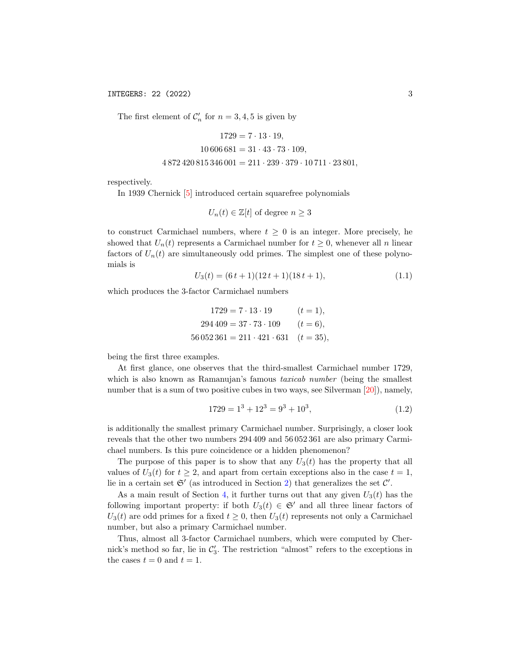INTEGERS: 22 (2022) 3

The first element of  $\mathcal{C}'_n$  for  $n = 3, 4, 5$  is given by

$$
1729 = 7 \cdot 13 \cdot 19,
$$
  

$$
10\,606\,681 = 31 \cdot 43 \cdot 73 \cdot 109,
$$
  

$$
4\,872\,420\,815\,346\,001 = 211 \cdot 239 \cdot 379 \cdot 10\,711 \cdot 23\,801,
$$

respectively.

In 1939 Chernick [\[5\]](#page-38-4) introduced certain squarefree polynomials

$$
U_n(t) \in \mathbb{Z}[t]
$$
 of degree  $n \ge 3$ 

to construct Carmichael numbers, where  $t \geq 0$  is an integer. More precisely, he showed that  $U_n(t)$  represents a Carmichael number for  $t \geq 0$ , whenever all n linear factors of  $U_n(t)$  are simultaneously odd primes. The simplest one of these polynomials is

<span id="page-2-0"></span>
$$
U_3(t) = (6t+1)(12t+1)(18t+1),
$$
\n(1.1)

which produces the 3-factor Carmichael numbers

$$
1729 = 7 \cdot 13 \cdot 19 \qquad (t = 1),
$$
  

$$
294\,409 = 37 \cdot 73 \cdot 109 \qquad (t = 6),
$$
  

$$
56\,052\,361 = 211 \cdot 421 \cdot 631 \qquad (t = 35),
$$

being the first three examples.

At first glance, one observes that the third-smallest Carmichael number 1729, which is also known as Ramanujan's famous *taxicab number* (being the smallest number that is a sum of two positive cubes in two ways, see Silverman [\[20\]](#page-38-5)), namely,

<span id="page-2-1"></span>
$$
1729 = 1^3 + 12^3 = 9^3 + 10^3,
$$
\n
$$
(1.2)
$$

is additionally the smallest primary Carmichael number. Surprisingly, a closer look reveals that the other two numbers 294 409 and 56 052 361 are also primary Carmichael numbers. Is this pure coincidence or a hidden phenomenon?

The purpose of this paper is to show that any  $U_3(t)$  has the property that all values of  $U_3(t)$  for  $t \geq 2$ , and apart from certain exceptions also in the case  $t = 1$ , lie in a certain set  $\mathfrak{S}'$  (as introduced in Section [2\)](#page-5-0) that generalizes the set  $\mathcal{C}'$ .

As a main result of Section [4,](#page-10-0) it further turns out that any given  $U_3(t)$  has the following important property: if both  $U_3(t) \in \mathfrak{S}'$  and all three linear factors of  $U_3(t)$  are odd primes for a fixed  $t \geq 0$ , then  $U_3(t)$  represents not only a Carmichael number, but also a primary Carmichael number.

Thus, almost all 3-factor Carmichael numbers, which were computed by Chernick's method so far, lie in  $\mathcal{C}'_3$ . The restriction "almost" refers to the exceptions in the cases  $t = 0$  and  $t = 1$ .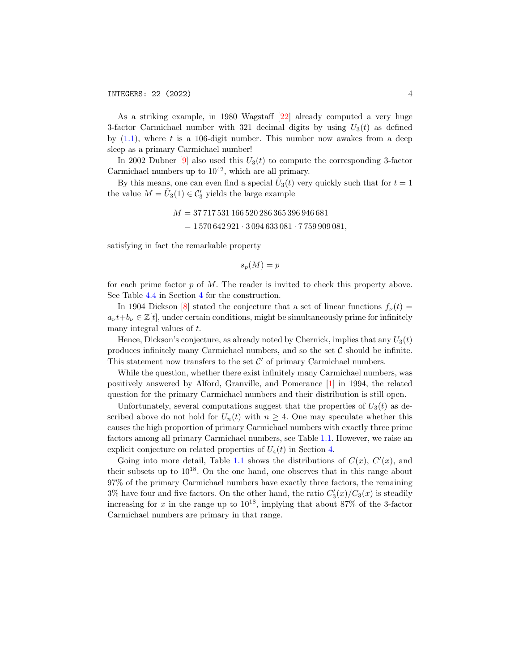As a striking example, in 1980 Wagstaff [\[22\]](#page-38-6) already computed a very huge 3-factor Carmichael number with 321 decimal digits by using  $U_3(t)$  as defined by  $(1.1)$ , where t is a 106-digit number. This number now awakes from a deep sleep as a primary Carmichael number!

In 2002 Dubner [\[9\]](#page-38-7) also used this  $U_3(t)$  to compute the corresponding 3-factor Carmichael numbers up to  $10^{42}$ , which are all primary.

By this means, one can even find a special  $\tilde{U}_3(t)$  very quickly such that for  $t = 1$ the value  $M = \tilde{U}_3(1) \in \mathcal{C}'_3$  yields the large example

$$
M = 37717531166520286365396946681
$$
  
= 1570642921 · 3094633081 · 7759909081,

satisfying in fact the remarkable property

$$
s_p(M) = p
$$

for each prime factor  $p$  of  $M$ . The reader is invited to check this property above. See Table [4.4](#page-15-0) in Section [4](#page-10-0) for the construction.

In 1904 Dickson [\[8\]](#page-38-8) stated the conjecture that a set of linear functions  $f_{\nu}(t)$  =  $a_{\nu}t+b_{\nu} \in \mathbb{Z}[t]$ , under certain conditions, might be simultaneously prime for infinitely many integral values of t.

Hence, Dickson's conjecture, as already noted by Chernick, implies that any  $U_3(t)$ produces infinitely many Carmichael numbers, and so the set  $C$  should be infinite. This statement now transfers to the set  $\mathcal{C}'$  of primary Carmichael numbers.

While the question, whether there exist infinitely many Carmichael numbers, was positively answered by Alford, Granville, and Pomerance [\[1\]](#page-38-9) in 1994, the related question for the primary Carmichael numbers and their distribution is still open.

Unfortunately, several computations suggest that the properties of  $U_3(t)$  as described above do not hold for  $U_n(t)$  with  $n \geq 4$ . One may speculate whether this causes the high proportion of primary Carmichael numbers with exactly three prime factors among all primary Carmichael numbers, see Table [1.1.](#page-4-0) However, we raise an explicit conjecture on related properties of  $U_4(t)$  in Section [4.](#page-10-0)

Going into more detail, Table [1.1](#page-4-0) shows the distributions of  $C(x)$ ,  $C'(x)$ , and their subsets up to  $10^{18}$ . On the one hand, one observes that in this range about 97% of the primary Carmichael numbers have exactly three factors, the remaining 3% have four and five factors. On the other hand, the ratio  $C_3'(x)/C_3(x)$  is steadily increasing for  $x$  in the range up to  $10^{18}$ , implying that about 87% of the 3-factor Carmichael numbers are primary in that range.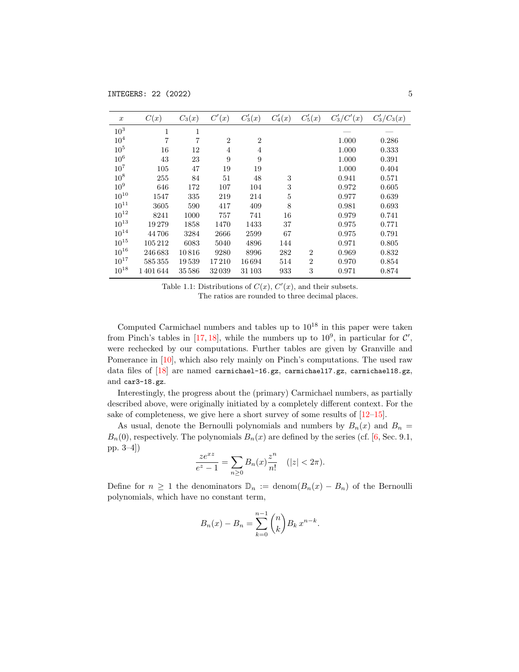<span id="page-4-0"></span>

| $\boldsymbol{x}$ | C(x)    | $C_3(x)$ | C'(x)          | $C'_3(x)$      | $C_4'(x)$ | $C'_{5}(x)$    | $C'_{3}/C'(x)$ | $C'_{3}/C_{3}(x)$ |
|------------------|---------|----------|----------------|----------------|-----------|----------------|----------------|-------------------|
| 10 <sup>3</sup>  | 1       | 1        |                |                |           |                |                |                   |
| 10 <sup>4</sup>  | 7       | 7        | $\overline{2}$ | $\overline{2}$ |           |                | 1.000          | 0.286             |
| $10^{5}$         | 16      | 12       | $\overline{4}$ | $\overline{4}$ |           |                | 1.000          | 0.333             |
| 10 <sup>6</sup>  | 43      | 23       | 9              | 9              |           |                | 1.000          | 0.391             |
| $10^{7}$         | 105     | 47       | 19             | 19             |           |                | 1.000          | 0.404             |
| $10^8$           | 255     | 84       | 51             | 48             | 3         |                | 0.941          | 0.571             |
| 10 <sup>9</sup>  | 646     | 172      | 107            | 104            | 3         |                | 0.972          | 0.605             |
| $10^{10}$        | 1547    | 335      | 219            | 214            | 5         |                | 0.977          | 0.639             |
| $10^{11}$        | 3605    | 590      | 417            | 409            | 8         |                | 0.981          | 0.693             |
| $10^{12}$        | 8241    | 1000     | 757            | 741            | 16        |                | 0.979          | 0.741             |
| $10^{13}$        | 19279   | 1858     | 1470           | 1433           | 37        |                | 0.975          | 0.771             |
| $10^{14}$        | 44706   | 3284     | 2666           | 2599           | 67        |                | 0.975          | 0.791             |
| $10^{15}$        | 105212  | 6083     | 5040           | 4896           | 144       |                | 0.971          | 0.805             |
| $10^{16}$        | 246683  | 10816    | 9280           | 8996           | 282       | $\overline{2}$ | 0.969          | 0.832             |
| $10^{17}$        | 585355  | 19539    | 17210          | 16694          | 514       | $\overline{2}$ | 0.970          | 0.854             |
| $10^{18}$        | 1401644 | 35586    | 32039          | 31 103         | 933       | 3              | 0.971          | 0.874             |

Table 1.1: Distributions of  $C(x)$ ,  $C'(x)$ , and their subsets. The ratios are rounded to three decimal places.

Computed Carmichael numbers and tables up to  $10^{18}$  in this paper were taken from Pinch's tables in [\[17,](#page-38-10) [18\]](#page-38-11), while the numbers up to  $10^9$ , in particular for  $\mathcal{C}'$ , were rechecked by our computations. Further tables are given by Granville and Pomerance in [\[10\]](#page-38-12), which also rely mainly on Pinch's computations. The used raw data files of [\[18\]](#page-38-11) are named carmichael-16.gz, carmichael17.gz, carmichael18.gz, and car3-18.gz.

Interestingly, the progress about the (primary) Carmichael numbers, as partially described above, were originally initiated by a completely different context. For the sake of completeness, we give here a short survey of some results of  $[12-15]$  $[12-15]$ .

As usual, denote the Bernoulli polynomials and numbers by  $B_n(x)$  and  $B_n =$  $B_n(0)$ , respectively. The polynomials  $B_n(x)$  are defined by the series (cf. [\[6,](#page-38-14) Sec. 9.1, pp. 3–4])

$$
\frac{ze^{xz}}{e^z - 1} = \sum_{n \ge 0} B_n(x) \frac{z^n}{n!} \quad (|z| < 2\pi).
$$

Define for  $n \geq 1$  the denominators  $\mathbb{D}_n := \text{denom}(B_n(x) - B_n)$  of the Bernoulli polynomials, which have no constant term,

$$
B_n(x) - B_n = \sum_{k=0}^{n-1} {n \choose k} B_k x^{n-k}.
$$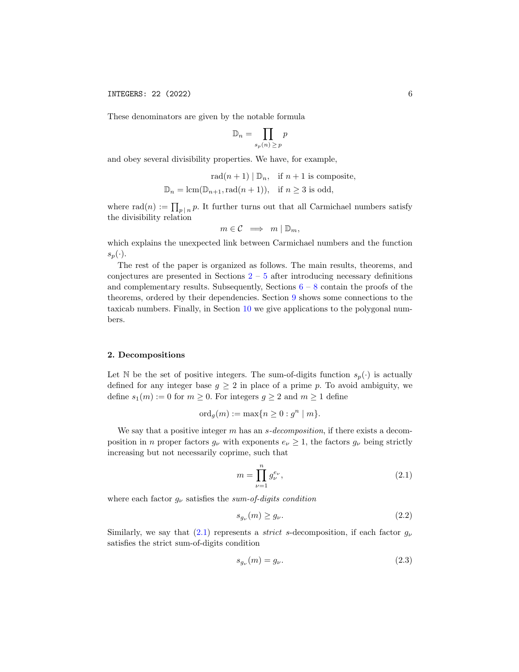These denominators are given by the notable formula

$$
\mathbb{D}_n = \prod_{s_p(n) \ge p} p
$$

and obey several divisibility properties. We have, for example,

$$
rad(n + 1) | D_n, \text{ if } n + 1 \text{ is composite,}
$$
  

$$
D_n = lcm(D_{n+1}, rad(n + 1)), \text{ if } n \ge 3 \text{ is odd,}
$$

where rad $(n) := \prod_{p \mid n} p$ . It further turns out that all Carmichael numbers satisfy the divisibility relation

$$
m\in\mathcal{C}\implies m\mid\mathbb{D}_m,
$$

which explains the unexpected link between Carmichael numbers and the function  $s_p(\cdot).$ 

The rest of the paper is organized as follows. The main results, theorems, and conjectures are presented in Sections  $2 - 5$  $2 - 5$  $2 - 5$  after introducing necessary definitions and complementary results. Subsequently, Sections  $6 - 8$  $6 - 8$  $6 - 8$  contain the proofs of the theorems, ordered by their dependencies. Section [9](#page-33-0) shows some connections to the taxicab numbers. Finally, in Section [10](#page-34-0) we give applications to the polygonal numbers.

## <span id="page-5-0"></span>2. Decompositions

Let N be the set of positive integers. The sum-of-digits function  $s_p(\cdot)$  is actually defined for any integer base  $g \geq 2$  in place of a prime p. To avoid ambiguity, we define  $s_1(m) := 0$  for  $m \ge 0$ . For integers  $g \ge 2$  and  $m \ge 1$  define

$$
\mathrm{ord}_g(m) := \max\{n \ge 0 : g^n \mid m\}.
$$

We say that a positive integer  $m$  has an  $s-decomposition$ , if there exists a decomposition in n proper factors  $g_{\nu}$  with exponents  $e_{\nu} \geq 1$ , the factors  $g_{\nu}$  being strictly increasing but not necessarily coprime, such that

<span id="page-5-1"></span>
$$
m = \prod_{\nu=1}^{n} g_{\nu}^{e_{\nu}},
$$
\n(2.1)

where each factor  $g_{\nu}$  satisfies the sum-of-digits condition

<span id="page-5-2"></span>
$$
s_{g_{\nu}}(m) \ge g_{\nu}.\tag{2.2}
$$

Similarly, we say that [\(2.1\)](#page-5-1) represents a *strict s*-decomposition, if each factor  $g_{\nu}$ satisfies the strict sum-of-digits condition

<span id="page-5-3"></span>
$$
s_{g_{\nu}}(m) = g_{\nu}.\tag{2.3}
$$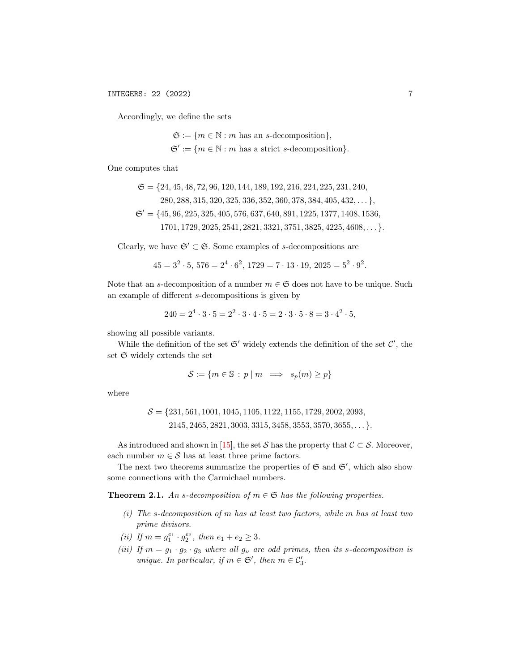Accordingly, we define the sets

 $\mathfrak{S} := \{m \in \mathbb{N} : m \text{ has an } s\text{-decomposition}\},\$  $\mathfrak{S}' := \{m \in \mathbb{N} : m \text{ has a strict } s\text{-decomposition}\}.$ 

One computes that

$$
\mathfrak{S} = \{24, 45, 48, 72, 96, 120, 144, 189, 192, 216, 224, 225, 231, 240, 280, 288, 315, 320, 325, 336, 352, 360, 378, 384, 405, 432, ... \},
$$
  

$$
\mathfrak{S}' = \{45, 96, 225, 325, 405, 576, 637, 640, 891, 1225, 1377, 1408, 1536, 1701, 1729, 2025, 2541, 2821, 3321, 3751, 3825, 4225, 4608, ... \}.
$$

Clearly, we have  $\mathfrak{S}' \subset \mathfrak{S}$ . Some examples of s-decompositions are

$$
45 = 3^2 \cdot 5, 576 = 2^4 \cdot 6^2, 1729 = 7 \cdot 13 \cdot 19, 2025 = 5^2 \cdot 9^2.
$$

Note that an s-decomposition of a number  $m \in \mathfrak{S}$  does not have to be unique. Such an example of different s-decompositions is given by

$$
240 = 24 \cdot 3 \cdot 5 = 22 \cdot 3 \cdot 4 \cdot 5 = 2 \cdot 3 \cdot 5 \cdot 8 = 3 \cdot 42 \cdot 5,
$$

showing all possible variants.

While the definition of the set  $\mathfrak{S}'$  widely extends the definition of the set  $\mathcal{C}'$ , the set  $\mathfrak S$  widely extends the set

$$
\mathcal{S} := \{ m \in \mathbb{S} : p \mid m \implies s_p(m) \ge p \}
$$

where

$$
S = \{231, 561, 1001, 1045, 1105, 1122, 1155, 1729, 2002, 2093, 2145, 2465, 2821, 3003, 3315, 3458, 3553, 3570, 3655, \dots\}.
$$

As introduced and shown in [\[15\]](#page-38-3), the set S has the property that  $C \subset S$ . Moreover, each number  $m \in \mathcal{S}$  has at least three prime factors.

The next two theorems summarize the properties of  $\mathfrak S$  and  $\mathfrak S'$ , which also show some connections with the Carmichael numbers.

<span id="page-6-0"></span>**Theorem 2.1.** An s-decomposition of  $m \in \mathfrak{S}$  has the following properties.

- $(i)$  The s-decomposition of m has at least two factors, while m has at least two prime divisors.
- (*ii*) If  $m = g_1^{e_1} \cdot g_2^{e_2}$ , then  $e_1 + e_2 \geq 3$ .
- (iii) If  $m = g_1 \cdot g_2 \cdot g_3$  where all  $g_\nu$  are odd primes, then its s-decomposition is unique. In particular, if  $m \in \mathfrak{S}'$ , then  $m \in \mathcal{C}'_3$ .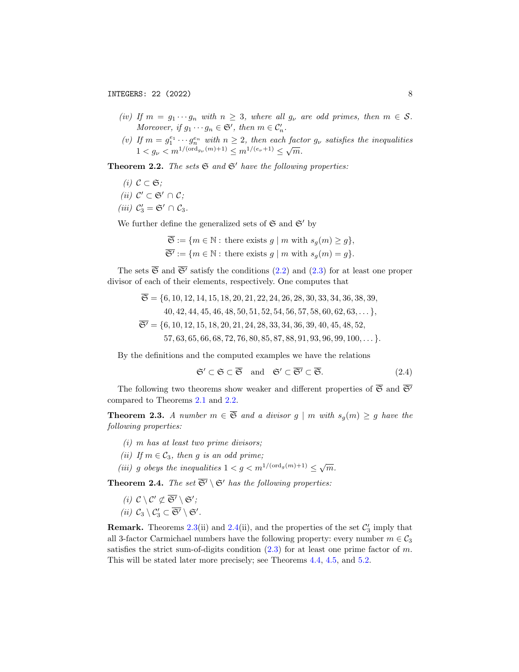- (iv) If  $m = g_1 \cdots g_n$  with  $n \geq 3$ , where all  $g_\nu$  are odd primes, then  $m \in S$ . Moreover, if  $g_1 \cdots g_n \in \mathfrak{S}'$ , then  $m \in \mathcal{C}'_n$ .
- (v) If  $m = g_1^{e_1} \cdots g_n^{e_n}$  with  $n \geq 2$ , then each factor  $g_{\nu}$  satisfies the inequalities  $1 \leq g_{\nu} \leq m^{1/(\text{ord}_{g_{\nu}}(m)+1)} \leq m^{1/(e_{\nu}+1)} \leq \sqrt{m}$ .

<span id="page-7-0"></span>**Theorem 2.2.** The sets  $\mathfrak{S}$  and  $\mathfrak{S}'$  have the following properties:

- (i)  $C \subset \mathfrak{S}$ ;
- (*ii*)  $\mathcal{C}' \subset \mathfrak{S}' \cap \mathcal{C}$ ;
- (*iii*)  $C'_3 = \mathfrak{S}' \cap C_3$ .

We further define the generalized sets of  $\mathfrak{S}$  and  $\mathfrak{S}'$  by

$$
\overline{\mathfrak{S}} := \{ m \in \mathbb{N} : \text{there exists } g \mid m \text{ with } s_g(m) \ge g \},
$$
  

$$
\overline{\mathfrak{S}'} := \{ m \in \mathbb{N} : \text{there exists } g \mid m \text{ with } s_g(m) = g \}.
$$

The sets  $\overline{\mathfrak{S}}$  and  $\overline{\mathfrak{S}}'$  satisfy the conditions [\(2.2\)](#page-5-2) and [\(2.3\)](#page-5-3) for at least one proper divisor of each of their elements, respectively. One computes that

$$
\overline{\mathfrak{S}} = \{6, 10, 12, 14, 15, 18, 20, 21, 22, 24, 26, 28, 30, 33, 34, 36, 38, 39, 40, 42, 44, 45, 46, 48, 50, 51, 52, 54, 56, 57, 58, 60, 62, 63, \dots\},
$$
  

$$
\overline{\mathfrak{S}'} = \{6, 10, 12, 15, 18, 20, 21, 24, 28, 33, 34, 36, 39, 40, 45, 48, 52, 57, 63, 65, 66, 68, 72, 76, 80, 85, 87, 88, 91, 93, 96, 99, 100, \dots\}.
$$

By the definitions and the computed examples we have the relations

<span id="page-7-3"></span>
$$
\mathfrak{S}' \subset \mathfrak{S} \subset \overline{\mathfrak{S}} \quad \text{and} \quad \mathfrak{S}' \subset \overline{\mathfrak{S}'} \subset \overline{\mathfrak{S}}. \tag{2.4}
$$

The following two theorems show weaker and different properties of  $\overline{\mathfrak{S}}$  and  $\overline{\mathfrak{S}'}$ compared to Theorems [2.1](#page-6-0) and [2.2.](#page-7-0)

<span id="page-7-1"></span>**Theorem 2.3.** A number  $m \in \overline{S}$  and a divisor  $g \mid m$  with  $s_q(m) \geq g$  have the following properties:

- $(i)$  m has at least two prime divisors;
- (ii) If  $m \in \mathcal{C}_3$ , then g is an odd prime;
- (ii) g obeys the inequalities  $1 < g < m^{1/(\text{ord}_g(m)+1)} \leq \sqrt{m}$ .

<span id="page-7-2"></span>**Theorem 2.4.** The set  $\overline{\mathfrak{S}'} \setminus \mathfrak{S}'$  has the following properties:

- (i)  $C \setminus C' \not\subset \overline{\mathfrak{S}'} \setminus \mathfrak{S}'$ ;
- (*ii*)  $C_3 \setminus C_3' \subset \overline{\mathfrak{S}'} \setminus \mathfrak{S}'.$ **Remark.** Theorems [2.3\(](#page-7-1)ii) and [2.4\(](#page-7-2)ii), and the properties of the set  $\mathcal{C}'_3$  imply that all 3-factor Carmichael numbers have the following property: every number  $m \in \mathcal{C}_3$ satisfies the strict sum-of-digits condition  $(2.3)$  for at least one prime factor of m.

This will be stated later more precisely; see Theorems [4.4,](#page-13-0) [4.5,](#page-13-1) and [5.2.](#page-16-0)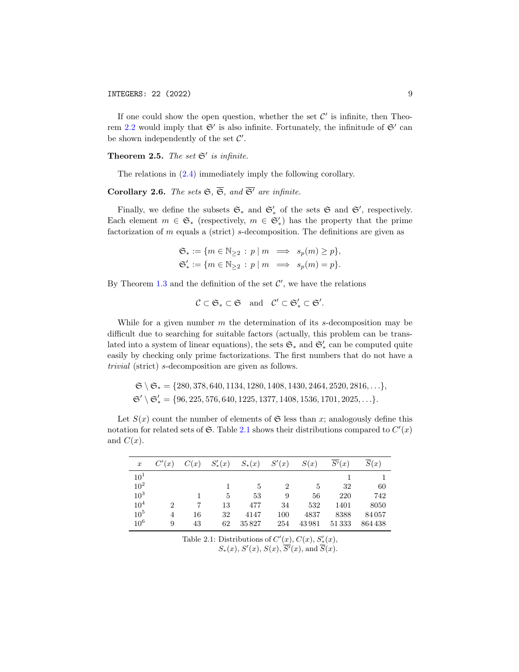If one could show the open question, whether the set  $\mathcal{C}'$  is infinite, then Theo-rem [2.2](#page-7-0) would imply that  $\mathfrak{S}'$  is also infinite. Fortunately, the infinitude of  $\mathfrak{S}'$  can be shown independently of the set  $\mathcal{C}'$ .

<span id="page-8-1"></span>**Theorem 2.5.** The set  $\mathfrak{S}'$  is infinite.

The relations in [\(2.4\)](#page-7-3) immediately imply the following corollary.

## Corollary 2.6. The sets  $\mathfrak{S}, \overline{\mathfrak{S}},$  and  $\overline{\mathfrak{S}'}$  are infinite.

Finally, we define the subsets  $\mathfrak{S}_*$  and  $\mathfrak{S}'_*$  of the sets  $\mathfrak{S}$  and  $\mathfrak{S}'$ , respectively. Each element  $m \in \mathfrak{S}_*$  (respectively,  $m \in \mathfrak{S}'_*$ ) has the property that the prime factorization of m equals a (strict) s-decomposition. The definitions are given as

$$
\mathfrak{S}_* := \{ m \in \mathbb{N}_{\geq 2} : p \mid m \implies s_p(m) \geq p \},
$$
  

$$
\mathfrak{S}'_* := \{ m \in \mathbb{N}_{\geq 2} : p \mid m \implies s_p(m) = p \}.
$$

By Theorem [1.3](#page-1-0) and the definition of the set  $\mathcal{C}'$ , we have the relations

$$
\mathcal{C}\subset \mathfrak{S}_*\subset \mathfrak{S} \quad \mathrm{and} \quad \mathcal{C}'\subset \mathfrak{S}_*'\subset \mathfrak{S}'.
$$

While for a given number  $m$  the determination of its  $s$ -decomposition may be difficult due to searching for suitable factors (actually, this problem can be translated into a system of linear equations), the sets  $\mathfrak{S}_*$  and  $\mathfrak{S}'_*$  can be computed quite easily by checking only prime factorizations. The first numbers that do not have a trivial (strict) s-decomposition are given as follows.

$$
\mathfrak{S} \setminus \mathfrak{S}_* = \{280, 378, 640, 1134, 1280, 1408, 1430, 2464, 2520, 2816, \ldots\},
$$
  

$$
\mathfrak{S}' \setminus \mathfrak{S}'_* = \{96, 225, 576, 640, 1225, 1377, 1408, 1536, 1701, 2025, \ldots\}.
$$

Let  $S(x)$  count the number of elements of  $\mathfrak S$  less than x; analogously define this notation for related sets of  $\mathfrak{S}$ . Table [2.1](#page-8-0) shows their distributions compared to  $C'(x)$ and  $C(x)$ .

<span id="page-8-0"></span>

| $\boldsymbol{x}$ | C'(x) | C(x) | $S'_{*}(x)$ | $S_*(x)$ | S'(x)          | S(x)  | $\overline{S'}(x)$ | $\overline{S}(x)$ |
|------------------|-------|------|-------------|----------|----------------|-------|--------------------|-------------------|
| $10^{1}$         |       |      |             |          |                |       |                    |                   |
| $10^{2}$         |       |      |             | 5        | $\overline{2}$ | 5     | 32                 | 60                |
| 10 <sup>3</sup>  |       |      | 5           | 53       | 9              | 56    | 220                | 742               |
| 10 <sup>4</sup>  | 2     |      | 13          | 477      | 34             | 532   | 1401               | 8050              |
| 10 <sup>5</sup>  | 4     | 16   | 32          | 4147     | 100            | 4837  | 8388               | 84057             |
| 10 <sup>6</sup>  | 9     | 43   | 62          | 35827    | 254            | 43981 | 51333              | 864438            |

Table 2.1: Distributions of  $C'(x)$ ,  $C(x)$ ,  $S'_{*}(x)$ ,  $S_*(x)$ ,  $S'(x)$ ,  $\overline{S'}(x)$ , and  $\overline{S}(x)$ .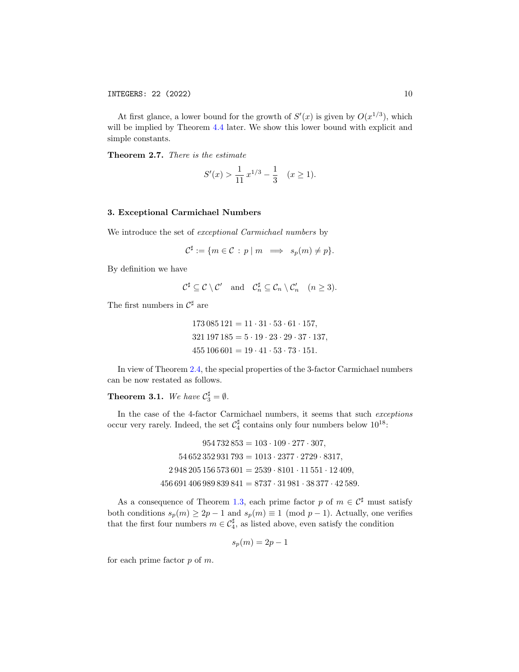At first glance, a lower bound for the growth of  $S'(x)$  is given by  $O(x^{1/3})$ , which will be implied by Theorem [4.4](#page-13-0) later. We show this lower bound with explicit and simple constants.

<span id="page-9-0"></span>Theorem 2.7. There is the estimate

$$
S'(x) > \frac{1}{11} x^{1/3} - \frac{1}{3} \quad (x \ge 1).
$$

## <span id="page-9-2"></span>3. Exceptional Carmichael Numbers

We introduce the set of exceptional Carmichael numbers by

$$
\mathcal{C}^{\sharp} := \{ m \in \mathcal{C} \, : \, p \mid m \implies s_p(m) \neq p \}.
$$

By definition we have

$$
\mathcal{C}^{\sharp} \subseteq \mathcal{C} \setminus \mathcal{C}' \quad \text{and} \quad \mathcal{C}_n^{\sharp} \subseteq \mathcal{C}_n \setminus \mathcal{C}_n' \quad (n \ge 3).
$$

The first numbers in  $\mathcal{C}^{\sharp}$  are

$$
173\,085\,121 = 11 \cdot 31 \cdot 53 \cdot 61 \cdot 157,
$$
  

$$
321\,197\,185 = 5 \cdot 19 \cdot 23 \cdot 29 \cdot 37 \cdot 137,
$$
  

$$
455\,106\,601 = 19 \cdot 41 \cdot 53 \cdot 73 \cdot 151.
$$

In view of Theorem [2.4,](#page-7-2) the special properties of the 3-factor Carmichael numbers can be now restated as follows.

# <span id="page-9-1"></span>**Theorem 3.1.** We have  $C_3^{\sharp} = \emptyset$ .

In the case of the 4-factor Carmichael numbers, it seems that such exceptions occur very rarely. Indeed, the set  $\mathcal{C}_4^{\sharp}$  contains only four numbers below  $10^{18}$ :

$$
954732853 = 103 \cdot 109 \cdot 277 \cdot 307,
$$
  
\n
$$
54652352931793 = 1013 \cdot 2377 \cdot 2729 \cdot 8317,
$$
  
\n
$$
2948205156573601 = 2539 \cdot 8101 \cdot 11551 \cdot 12409,
$$
  
\n
$$
456691406989839841 = 8737 \cdot 31981 \cdot 38377 \cdot 42589.
$$

As a consequence of Theorem [1.3,](#page-1-0) each prime factor p of  $m \in \mathcal{C}^{\sharp}$  must satisfy both conditions  $s_p(m) \geq 2p - 1$  and  $s_p(m) \equiv 1 \pmod{p-1}$ . Actually, one verifies that the first four numbers  $m \in C_4^{\sharp}$ , as listed above, even satisfy the condition

$$
s_p(m) = 2p - 1
$$

for each prime factor  $p$  of  $m$ .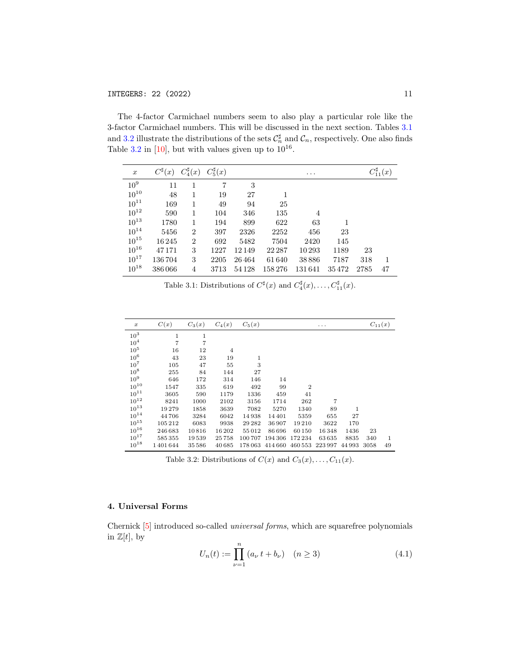The 4-factor Carmichael numbers seem to also play a particular role like the 3-factor Carmichael numbers. This will be discussed in the next section. Tables [3.1](#page-10-1) and [3.2](#page-10-2) illustrate the distributions of the sets  $\mathcal{C}_n^{\sharp}$  and  $\mathcal{C}_n$ , respectively. One also finds Table  $3.2$  in [\[10\]](#page-38-12), but with values given up to  $10^{16}$ .

<span id="page-10-1"></span>

| $\boldsymbol{x}$ | $C^{\sharp}(x)$ | $C_4^{\sharp}(x)$ | $C_5^{\sharp}(x)$ |         |        | $\cdots$       |       |      | $C_{11}^{\sharp}(x)$ |
|------------------|-----------------|-------------------|-------------------|---------|--------|----------------|-------|------|----------------------|
| 10 <sup>9</sup>  | 11              | 1                 | 7                 | 3       |        |                |       |      |                      |
| $10^{10}$        | 48              | 1                 | 19                | 27      |        |                |       |      |                      |
| $10^{11}$        | 169             | 1                 | 49                | 94      | 25     |                |       |      |                      |
| $10^{12}\,$      | 590             | 1                 | 104               | 346     | 135    | $\overline{4}$ |       |      |                      |
| $10^{13}$        | 1780            | 1                 | 194               | 899     | 622    | 63             |       |      |                      |
| $10^{14}$        | 5456            | $\overline{2}$    | 397               | 2326    | 2252   | 456            | 23    |      |                      |
| $10^{15}$        | 16245           | $\overline{2}$    | 692               | 5482    | 7504   | 2420           | 145   |      |                      |
| $10^{16}$        | 47171           | 3                 | 1227              | 12149   | 22 287 | 10293          | 1189  | 23   |                      |
| $10^{17}$        | 136704          | 3                 | 2205              | 26464   | 61640  | 38886          | 7187  | 318  | 1                    |
| $10^{18}$        | 386066          | $\overline{4}$    | 3713              | 54 1 28 | 158276 | 131641         | 35472 | 2785 | 47                   |

Table 3.1: Distributions of  $C^{\sharp}(x)$  and  $C^{\sharp}_{4}(x), \ldots, C^{\sharp}_{11}(x)$ .

<span id="page-10-2"></span>

| $\boldsymbol{x}$ | C(x)    | $C_3(x)$ | $C_4(x)$ | $C_5(x)$ |         |                | .       |        |      | $C_{11}(x)$ |
|------------------|---------|----------|----------|----------|---------|----------------|---------|--------|------|-------------|
| 10 <sup>3</sup>  | 1       | 1        |          |          |         |                |         |        |      |             |
| 10 <sup>4</sup>  | 7       | 7        |          |          |         |                |         |        |      |             |
| $10^5\,$         | 16      | 12       | 4        |          |         |                |         |        |      |             |
| 10 <sup>6</sup>  | 43      | 23       | 19       | 1        |         |                |         |        |      |             |
| $10^{7}$         | 105     | 47       | 55       | 3        |         |                |         |        |      |             |
| $10^{8}$         | 255     | 84       | 144      | 27       |         |                |         |        |      |             |
| 10 <sup>9</sup>  | 646     | 172      | 314      | 146      | 14      |                |         |        |      |             |
| $10^{10}$        | 1547    | 335      | 619      | 492      | 99      | $\overline{2}$ |         |        |      |             |
| $10^{11}$        | 3605    | 590      | 1179     | 1336     | 459     | 41             |         |        |      |             |
| $10^{12}$        | 8241    | 1000     | 2102     | 3156     | 1714    | 262            | 7       |        |      |             |
| $10^{13}$        | 19279   | 1858     | 3639     | 7082     | 5270    | 1340           | 89      | 1      |      |             |
| $10^{14}$        | 44706   | 3284     | 6042     | 14938    | 14401   | 5359           | 655     | 27     |      |             |
| $10^{15}$        | 105212  | 6083     | 9938     | 29 28 2  | 36907   | 19210          | 3622    | 170    |      |             |
| $10^{16}$        | 246 683 | 10816    | 16202    | 55012    | 86 696  | 60 150         | 16348   | 1436   | 23   |             |
| $10^{17}$        | 585355  | 19539    | 25758    | 100707   | 194 306 | 172 234        | 63635   | 8835   | 340  | 1           |
| $10^{18}$        | 1401644 | 35 586   | 40685    | 178 063  | 414 660 | 460 553        | 223 997 | 44 993 | 3058 | 49          |

Table 3.2: Distributions of  $C(x)$  and  $C_3(x), \ldots, C_{11}(x)$ .

## <span id="page-10-0"></span>4. Universal Forms

Chernick [\[5\]](#page-38-4) introduced so-called universal forms, which are squarefree polynomials in  $\mathbb{Z}[t]$ , by

<span id="page-10-3"></span>
$$
U_n(t) := \prod_{\nu=1}^n (a_\nu \, t + b_\nu) \quad (n \ge 3)
$$
\n(4.1)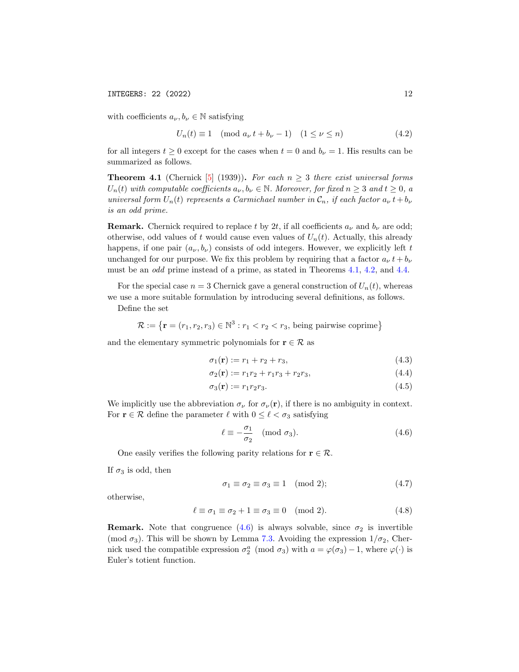with coefficients  $a_{\nu}, b_{\nu} \in \mathbb{N}$  satisfying

<span id="page-11-7"></span>
$$
U_n(t) \equiv 1 \pmod{a_\nu t + b_\nu - 1} \quad (1 \le \nu \le n)
$$
\n
$$
(4.2)
$$

for all integers  $t \geq 0$  except for the cases when  $t = 0$  and  $b_{\nu} = 1$ . His results can be summarized as follows.

<span id="page-11-0"></span>**Theorem 4.1** (Chernick [\[5\]](#page-38-4) (1939)). For each  $n \geq 3$  there exist universal forms  $U_n(t)$  with computable coefficients  $a_{\nu}, b_{\nu} \in \mathbb{N}$ . Moreover, for fixed  $n \geq 3$  and  $t \geq 0$ , a universal form  $U_n(t)$  represents a Carmichael number in  $\mathcal{C}_n$ , if each factor  $a_{\nu} t + b_{\nu}$ is an odd prime.

**Remark.** Chernick required to replace t by 2t, if all coefficients  $a_{\nu}$  and  $b_{\nu}$  are odd; otherwise, odd values of t would cause even values of  $U_n(t)$ . Actually, this already happens, if one pair  $(a_{\nu}, b_{\nu})$  consists of odd integers. However, we explicitly left t unchanged for our purpose. We fix this problem by requiring that a factor  $a_{\nu} t + b_{\nu}$ must be an odd prime instead of a prime, as stated in Theorems [4.1,](#page-11-0) [4.2,](#page-12-0) and [4.4.](#page-13-0)

For the special case  $n = 3$  Chernick gave a general construction of  $U_n(t)$ , whereas we use a more suitable formulation by introducing several definitions, as follows.

Define the set

$$
\mathcal{R} := \{ \mathbf{r} = (r_1, r_2, r_3) \in \mathbb{N}^3 : r_1 < r_2 < r_3, \text{ being pairwise coprime} \}
$$

and the elementary symmetric polynomials for  $\mathbf{r} \in \mathcal{R}$  as

<span id="page-11-2"></span>
$$
\sigma_1(\mathbf{r}) := r_1 + r_2 + r_3,\tag{4.3}
$$

$$
\sigma_2(\mathbf{r}) := r_1 r_2 + r_1 r_3 + r_2 r_3,\tag{4.4}
$$

$$
\sigma_3(\mathbf{r}) := r_1 r_2 r_3. \tag{4.5}
$$

We implicitly use the abbreviation  $\sigma_{\nu}$  for  $\sigma_{\nu}(\mathbf{r})$ , if there is no ambiguity in context. For  $\mathbf{r} \in \mathcal{R}$  define the parameter  $\ell$  with  $0 \leq \ell < \sigma_3$  satisfying

<span id="page-11-4"></span><span id="page-11-3"></span><span id="page-11-1"></span>
$$
\ell \equiv -\frac{\sigma_1}{\sigma_2} \pmod{\sigma_3}.\tag{4.6}
$$

One easily verifies the following parity relations for  $\mathbf{r} \in \mathcal{R}$ .

If  $\sigma_3$  is odd, then

<span id="page-11-6"></span><span id="page-11-5"></span>
$$
\sigma_1 \equiv \sigma_2 \equiv \sigma_3 \equiv 1 \pmod{2};\tag{4.7}
$$

otherwise,

$$
\ell \equiv \sigma_1 \equiv \sigma_2 + 1 \equiv \sigma_3 \equiv 0 \pmod{2}.
$$
 (4.8)

**Remark.** Note that congruence  $(4.6)$  is always solvable, since  $\sigma_2$  is invertible (mod  $\sigma_3$ ). This will be shown by Lemma [7.3.](#page-20-0) Avoiding the expression  $1/\sigma_2$ , Chernick used the compatible expression  $\sigma_2^a \pmod{\sigma_3}$  with  $a = \varphi(\sigma_3) - 1$ , where  $\varphi(\cdot)$  is Euler's totient function.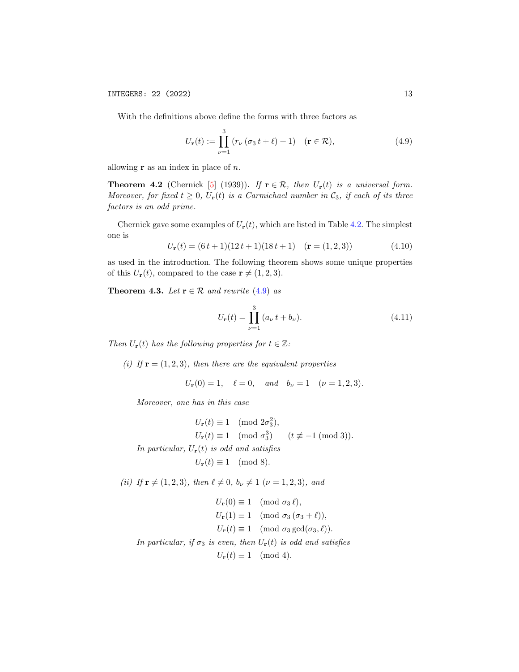With the definitions above define the forms with three factors as

<span id="page-12-1"></span>
$$
U_{\mathbf{r}}(t) := \prod_{\nu=1}^{3} (r_{\nu} (\sigma_3 t + \ell) + 1) \quad (\mathbf{r} \in \mathcal{R}), \tag{4.9}
$$

allowing  $\mathbf r$  as an index in place of  $n$ .

<span id="page-12-0"></span>**Theorem 4.2** (Chernick [\[5\]](#page-38-4) (1939)). If  $\mathbf{r} \in \mathcal{R}$ , then  $U_{\mathbf{r}}(t)$  is a universal form. Moreover, for fixed  $t \geq 0$ ,  $U_{\mathbf{r}}(t)$  is a Carmichael number in  $\mathcal{C}_3$ , if each of its three factors is an odd prime.

Chernick gave some examples of  $U_{\mathbf{r}}(t)$ , which are listed in Table [4.2.](#page-14-0) The simplest one is

<span id="page-12-4"></span>
$$
U_{\mathbf{r}}(t) = (6t+1)(12t+1)(18t+1) \quad (\mathbf{r} = (1,2,3)) \tag{4.10}
$$

as used in the introduction. The following theorem shows some unique properties of this  $U_{\mathbf{r}}(t)$ , compared to the case  $\mathbf{r} \neq (1, 2, 3)$ .

<span id="page-12-2"></span>**Theorem 4.3.** Let  $\mathbf{r} \in \mathcal{R}$  and rewrite [\(4.9\)](#page-12-1) as

<span id="page-12-3"></span>
$$
U_{\mathbf{r}}(t) = \prod_{\nu=1}^{3} (a_{\nu} t + b_{\nu}).
$$
 (4.11)

Then  $U_{\mathbf{r}}(t)$  has the following properties for  $t \in \mathbb{Z}$ :

(i) If  $\mathbf{r} = (1, 2, 3)$ , then there are the equivalent properties

$$
U_{\mathbf{r}}(0) = 1, \quad \ell = 0, \quad and \quad b_{\nu} = 1 \quad (\nu = 1, 2, 3).
$$

Moreover, one has in this case

$$
U_{\mathbf{r}}(t) \equiv 1 \pmod{2\sigma_3^2},
$$
  
\n
$$
U_{\mathbf{r}}(t) \equiv 1 \pmod{\sigma_3^3} \qquad (t \not\equiv -1 \pmod{3}).
$$
  
\n*In particular, U<sub>r</sub>(t) is odd and satisfies*  
\n
$$
U_{\mathbf{r}}(t) \equiv 1 \pmod{8}.
$$

(ii) If  $\mathbf{r} \neq (1, 2, 3)$ , then  $\ell \neq 0$ ,  $b_{\nu} \neq 1$  ( $\nu = 1, 2, 3$ ), and

$$
U_{\mathbf{r}}(0) \equiv 1 \pmod{\sigma_3 \ell},
$$
  
\n
$$
U_{\mathbf{r}}(1) \equiv 1 \pmod{\sigma_3 (\sigma_3 + \ell)},
$$
  
\n
$$
U_{\mathbf{r}}(t) \equiv 1 \pmod{\sigma_3 \gcd(\sigma_3, \ell)}.
$$

In particular, if  $\sigma_3$  is even, then  $U_{\bf r}(t)$  is odd and satisfies

## $U_{\mathbf{r}}(t) \equiv 1 \pmod{4}.$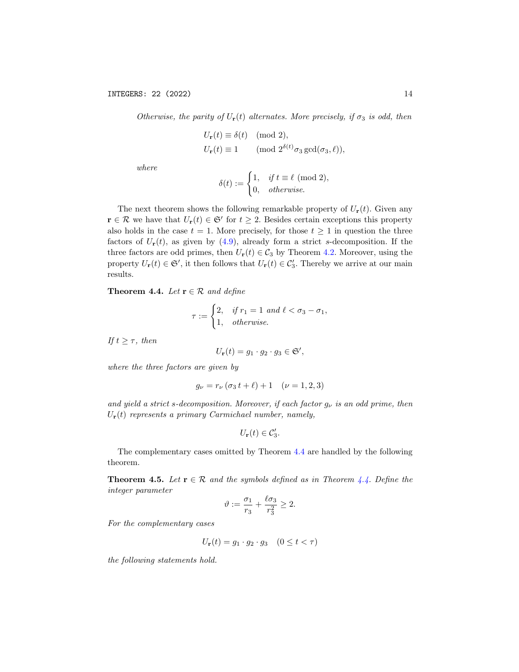Otherwise, the parity of  $U_{\bf r}(t)$  alternates. More precisely, if  $\sigma_3$  is odd, then

$$
U_{\mathbf{r}}(t) \equiv \delta(t) \pmod{2},
$$
  
 
$$
U_{\mathbf{r}}(t) \equiv 1 \qquad \text{(mod } 2^{\delta(t)}\sigma_3 \gcd(\sigma_3, \ell)),
$$

where

$$
\delta(t) := \begin{cases} 1, & \text{if } t \equiv \ell \pmod{2}, \\ 0, & \text{otherwise.} \end{cases}
$$

The next theorem shows the following remarkable property of  $U_{\mathbf{r}}(t)$ . Given any  $\mathbf{r} \in \mathcal{R}$  we have that  $U_{\mathbf{r}}(t) \in \mathfrak{S}'$  for  $t \geq 2$ . Besides certain exceptions this property also holds in the case  $t = 1$ . More precisely, for those  $t \geq 1$  in question the three factors of  $U_r(t)$ , as given by [\(4.9\)](#page-12-1), already form a strict s-decomposition. If the three factors are odd primes, then  $U_r(t) \in C_3$  by Theorem [4.2.](#page-12-0) Moreover, using the property  $U_{\mathbf{r}}(t) \in \mathfrak{S}'$ , it then follows that  $U_{\mathbf{r}}(t) \in \mathcal{C}'_3$ . Thereby we arrive at our main results.

<span id="page-13-0"></span>Theorem 4.4. Let  $\mathbf{r} \in \mathcal{R}$  and define

$$
\tau := \begin{cases} 2, & \text{if } r_1 = 1 \text{ and } \ell < \sigma_3 - \sigma_1, \\ 1, & \text{otherwise.} \end{cases}
$$

If  $t \geq \tau$ , then

$$
U_{\mathbf{r}}(t) = g_1 \cdot g_2 \cdot g_3 \in \mathfrak{S}',
$$

where the three factors are given by

$$
g_{\nu} = r_{\nu} (\sigma_3 t + \ell) + 1 \quad (\nu = 1, 2, 3)
$$

and yield a strict s-decomposition. Moreover, if each factor  $g_{\nu}$  is an odd prime, then  $U_{\mathbf{r}}(t)$  represents a primary Carmichael number, namely,

$$
U_{\mathbf{r}}(t) \in \mathcal{C}'_3.
$$

The complementary cases omitted by Theorem [4.4](#page-13-0) are handled by the following theorem.

<span id="page-13-1"></span>**Theorem 4.5.** Let  $\mathbf{r} \in \mathcal{R}$  and the symbols defined as in Theorem [4.4.](#page-13-0) Define the integer parameter

$$
\vartheta := \frac{\sigma_1}{r_3} + \frac{\ell \sigma_3}{r_3^2} \ge 2.
$$

For the complementary cases

$$
U_{\mathbf{r}}(t) = g_1 \cdot g_2 \cdot g_3 \quad (0 \le t < \tau)
$$

the following statements hold.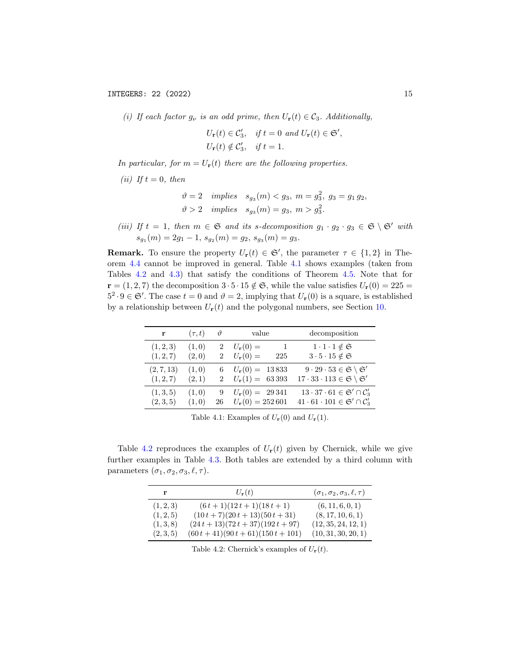(i) If each factor  $g_{\nu}$  is an odd prime, then  $U_{\mathbf{r}}(t) \in \mathcal{C}_3$ . Additionally,

$$
U_{\mathbf{r}}(t) \in \mathcal{C}'_3, \quad \text{if } t = 0 \text{ and } U_{\mathbf{r}}(t) \in \mathfrak{S}',
$$
  

$$
U_{\mathbf{r}}(t) \notin \mathcal{C}'_3, \quad \text{if } t = 1.
$$

In particular, for  $m = U_{\mathbf{r}}(t)$  there are the following properties.

(ii) If  $t = 0$ , then

$$
\vartheta = 2
$$
 implies  $s_{g_3}(m) < g_3$ ,  $m = g_3^2$ ,  $g_3 = g_1 g_2$ ,  
\n $\vartheta > 2$  implies  $s_{g_3}(m) = g_3$ ,  $m > g_3^2$ .

(iii) If  $t = 1$ , then  $m \in \mathfrak{S}$  and its s-decomposition  $g_1 \cdot g_2 \cdot g_3 \in \mathfrak{S} \setminus \mathfrak{S}'$  with  $s_{g_1}(m) = 2g_1 - 1, s_{g_2}(m) = g_2, s_{g_3}(m) = g_3.$ 

**Remark.** To ensure the property  $U_r(t) \in \mathfrak{S}'$ , the parameter  $\tau \in \{1,2\}$  in Theorem [4.4](#page-13-0) cannot be improved in general. Table [4.1](#page-14-1) shows examples (taken from Tables [4.2](#page-14-0) and [4.3\)](#page-15-2) that satisfy the conditions of Theorem [4.5.](#page-13-1) Note that for  $\mathbf{r} = (1, 2, 7)$  the decomposition  $3 \cdot 5 \cdot 15 \notin \mathfrak{S}$ , while the value satisfies  $U_{\mathbf{r}}(0) = 225$  $5^2 \cdot 9 \in \mathfrak{S}'$ . The case  $t = 0$  and  $\vartheta = 2$ , implying that  $U_{\mathbf{r}}(0)$  is a square, is established by a relationship between  $U_r(t)$  and the polygonal numbers, see Section [10.](#page-34-0)

<span id="page-14-1"></span>

| r                      | $(\tau, t)$    | $\vartheta$                      | value                                                 | decomposition                                                                    |
|------------------------|----------------|----------------------------------|-------------------------------------------------------|----------------------------------------------------------------------------------|
| (1, 2, 3)<br>(1, 2, 7) | (1,0)<br>(2,0) | $\overline{2}$<br>$\overline{2}$ | $U_{\mathbf{r}}(0) =$<br>$U_{\mathbf{r}}(0) =$<br>225 | $1 \cdot 1 \cdot 1 \notin \mathfrak{S}$<br>$3\cdot 5\cdot 15\notin \mathfrak{S}$ |
| (2, 7, 13)             | (1,0)          | 6                                | $U_{\bf r}(0) = 13833$                                | $9 \cdot 29 \cdot 53 \in \mathfrak{S} \setminus \mathfrak{S}'$                   |
| (1, 2, 7)              | (2,1)          | $\overline{2}$                   | $U_{\bf r}(1) = 63393$                                | $17 \cdot 33 \cdot 113 \in \mathfrak{S} \setminus \mathfrak{S}'$                 |
| (1,3,5)                | (1,0)          | 9                                | $U_{\bf r}(0) = 29341$                                | $13 \cdot 37 \cdot 61 \in \mathfrak{S}' \cap C'_3$                               |
| (2,3,5)                | (1,0)          | 26                               | $U_{\bf r}(0) = 252601$                               | $41 \cdot 61 \cdot 101 \in \mathfrak{S}' \cap C'_3$                              |

Table 4.1: Examples of  $U_{\mathbf{r}}(0)$  and  $U_{\mathbf{r}}(1)$ .

<span id="page-14-0"></span>Table [4.2](#page-14-0) reproduces the examples of  $U_{r}(t)$  given by Chernick, while we give further examples in Table [4.3.](#page-15-2) Both tables are extended by a third column with parameters  $(\sigma_1, \sigma_2, \sigma_3, \ell, \tau)$ .

|           | $U_{\bf r}(t)$                        | $(\sigma_1, \sigma_2, \sigma_3, \ell, \tau)$ |
|-----------|---------------------------------------|----------------------------------------------|
| (1, 2, 3) | $(6t+1)(12t+1)(18t+1)$                | (6, 11, 6, 0, 1)                             |
| (1, 2, 5) | $(10t+7)(20t+13)(50t+31)$             | (8, 17, 10, 6, 1)                            |
| (1,3,8)   | $(24t+13)(72t+37)(192t+97)$           | (12, 35, 24, 12, 1)                          |
| (2,3,5)   | $(60 t + 41)(90 t + 61)(150 t + 101)$ | (10, 31, 30, 20, 1)                          |

Table 4.2: Chernick's examples of  $U_{\mathbf{r}}(t)$ .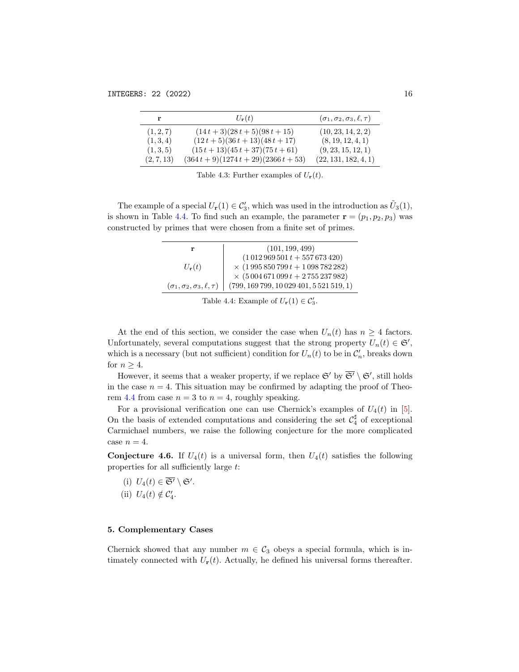<span id="page-15-2"></span>

|            | $U_{\bf r}(t)$                          | $(\sigma_1, \sigma_2, \sigma_3, \ell, \tau)$ |
|------------|-----------------------------------------|----------------------------------------------|
| (1, 2, 7)  | $(14t+3)(28t+5)(98t+15)$                | (10, 23, 14, 2, 2)                           |
| (1,3,4)    | $(12t+5)(36t+13)(48t+17)$               | (8, 19, 12, 4, 1)                            |
| (1,3,5)    | $(15t+13)(45t+37)(75t+61)$              | (9, 23, 15, 12, 1)                           |
| (2, 7, 13) | $(364 t + 9)(1274 t + 29)(2366 t + 53)$ | (22, 131, 182, 4, 1)                         |

Table 4.3: Further examples of  $U_{\mathbf{r}}(t)$ .

<span id="page-15-0"></span>The example of a special  $U_{\mathbf{r}}(1) \in \mathcal{C}'_3$ , which was used in the introduction as  $\tilde{U}_3(1)$ , is shown in Table [4.4.](#page-15-0) To find such an example, the parameter  $\mathbf{r} = (p_1, p_2, p_3)$  was constructed by primes that were chosen from a finite set of primes.

| r                                            | (101, 199, 499)                                 |
|----------------------------------------------|-------------------------------------------------|
|                                              | $(1012969501 t + 557673420)$                    |
| $U_{\bf r}(t)$                               | $\times$ (1995 850 799 $t + 1$ 098 782 282)     |
|                                              | $\times$ (5 004 671 099 t + 2 755 237 982)      |
| $(\sigma_1, \sigma_2, \sigma_3, \ell, \tau)$ | $(799, 169\,799, 10\,029\,401, 5\,521\,519, 1)$ |

Table 4.4: Example of  $U_{\mathbf{r}}(1) \in C'_3$ .

At the end of this section, we consider the case when  $U_n(t)$  has  $n \geq 4$  factors. Unfortunately, several computations suggest that the strong property  $U_n(t) \in \mathfrak{S}'$ , which is a necessary (but not sufficient) condition for  $U_n(t)$  to be in  $\mathcal{C}'_n$ , breaks down for  $n \geq 4$ .

However, it seems that a weaker property, if we replace  $\mathfrak{S}'$  by  $\overline{\mathfrak{S}'} \setminus \mathfrak{S}'$ , still holds in the case  $n = 4$ . This situation may be confirmed by adapting the proof of Theo-rem [4.4](#page-13-0) from case  $n = 3$  to  $n = 4$ , roughly speaking.

For a provisional verification one can use Chernick's examples of  $U_4(t)$  in [\[5\]](#page-38-4). On the basis of extended computations and considering the set  $\mathcal{C}_4^{\sharp}$  of exceptional Carmichael numbers, we raise the following conjecture for the more complicated case  $n = 4$ .

**Conjecture 4.6.** If  $U_4(t)$  is a universal form, then  $U_4(t)$  satisfies the following properties for all sufficiently large t:

(i)  $U_4(t) \in \overline{\mathfrak{S}'} \setminus \mathfrak{S}'.$ (ii)  $U_4(t) \notin C'_4$ .

#### <span id="page-15-1"></span>5. Complementary Cases

Chernick showed that any number  $m \in C_3$  obeys a special formula, which is intimately connected with  $U_{\mathbf{r}}(t)$ . Actually, he defined his universal forms thereafter.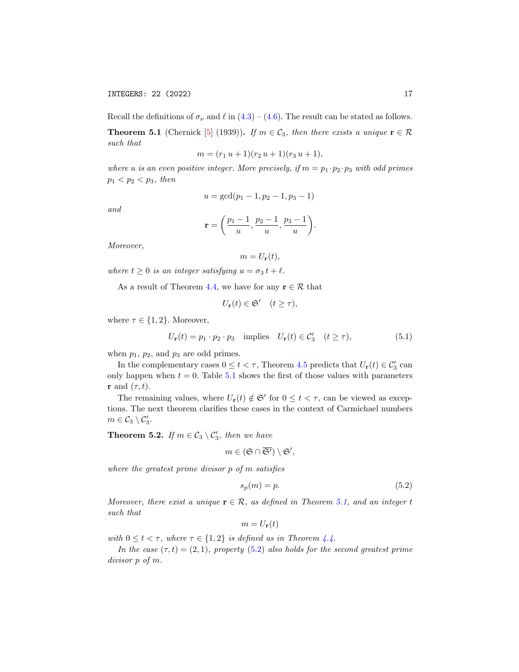<span id="page-16-1"></span>**Theorem 5.1** (Chernick [\[5\]](#page-38-4) (1939)). If  $m \in \mathcal{C}_3$ , then there exists a unique  $\mathbf{r} \in \mathcal{R}$ such that

$$
m = (r_1 u + 1)(r_2 u + 1)(r_3 u + 1),
$$

where u is an even positive integer. More precisely, if  $m = p_1 \cdot p_2 \cdot p_3$  with odd primes  $p_1 < p_2 < p_3$ , then

$$
u = \gcd(p_1 - 1, p_2 - 1, p_3 - 1)
$$

and

$$
\mathbf{r} = \left(\frac{p_1-1}{u}, \frac{p_2-1}{u}, \frac{p_3-1}{u}\right).
$$

Moreover,

$$
m=U_{\mathbf{r}}(t),
$$

where  $t \geq 0$  is an integer satisfying  $u = \sigma_3 t + \ell$ .

As a result of Theorem [4.4,](#page-13-0) we have for any  $\mathbf{r} \in \mathcal{R}$  that

$$
U_{\mathbf{r}}(t) \in \mathfrak{S}' \quad (t \ge \tau),
$$

where  $\tau \in \{1, 2\}$ . Moreover,

<span id="page-16-3"></span>
$$
U_{\mathbf{r}}(t) = p_1 \cdot p_2 \cdot p_3 \quad \text{implies} \quad U_{\mathbf{r}}(t) \in \mathcal{C}'_3 \quad (t \ge \tau), \tag{5.1}
$$

when  $p_1$ ,  $p_2$ , and  $p_3$  are odd primes.

In the complementary cases  $0 \le t < \tau$ , Theorem [4.5](#page-13-1) predicts that  $U_{\mathbf{r}}(t) \in C'_3$  can only happen when  $t = 0$ . Table [5.1](#page-17-0) shows the first of those values with parameters **r** and  $(\tau, t)$ .

The remaining values, where  $U_{\mathbf{r}}(t) \notin \mathfrak{S}'$  for  $0 \leq t < \tau$ , can be viewed as exceptions. The next theorem clarifies these cases in the context of Carmichael numbers  $m\in\mathcal{C}_3\setminus\mathcal{C}_3'.$ 

<span id="page-16-0"></span>**Theorem 5.2.** If  $m \in C_3 \setminus C'_3$ , then we have

$$
m\in (\mathfrak{S}\cap \overline{\mathfrak{S}'})\setminus \mathfrak{S}',
$$

where the greatest prime divisor p of m satisfies

<span id="page-16-2"></span>
$$
s_p(m) = p.\t\t(5.2)
$$

Moreover, there exist a unique  $\mathbf{r} \in \mathcal{R}$ , as defined in Theorem [5.1,](#page-16-1) and an integer t such that

$$
m = U_{\mathbf{r}}(t)
$$

with  $0 \leq t < \tau$ , where  $\tau \in \{1,2\}$  is defined as in Theorem [4.4.](#page-13-0)

In the case  $(\tau, t) = (2, 1)$ , property  $(5.2)$  also holds for the second greatest prime divisor p of m.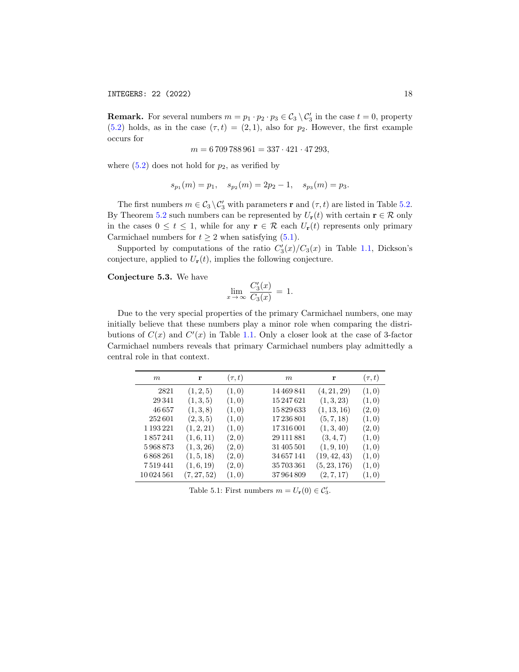**Remark.** For several numbers  $m = p_1 \cdot p_2 \cdot p_3 \in C_3 \setminus C_3'$  in the case  $t = 0$ , property [\(5.2\)](#page-16-2) holds, as in the case  $(\tau, t) = (2, 1)$ , also for  $p_2$ . However, the first example occurs for

$$
m = 6\,709\,788\,961 = 337 \cdot 421 \cdot 47\,293,
$$

where  $(5.2)$  does not hold for  $p_2$ , as verified by

$$
s_{p_1}(m) = p_1
$$
,  $s_{p_2}(m) = 2p_2 - 1$ ,  $s_{p_3}(m) = p_3$ .

The first numbers  $m \in C_3 \setminus C'_3$  with parameters **r** and  $(\tau, t)$  are listed in Table [5.2.](#page-18-1) By Theorem [5.2](#page-16-0) such numbers can be represented by  $U_{\mathbf{r}}(t)$  with certain  $\mathbf{r} \in \mathcal{R}$  only in the cases  $0 \le t \le 1$ , while for any  $\mathbf{r} \in \mathcal{R}$  each  $U_{\mathbf{r}}(t)$  represents only primary Carmichael numbers for  $t \geq 2$  when satisfying [\(5.1\)](#page-16-3).

Supported by computations of the ratio  $C'_{3}(x)/C_{3}(x)$  in Table [1.1,](#page-4-0) Dickson's conjecture, applied to  $U_{\mathbf{r}}(t)$ , implies the following conjecture.

Conjecture 5.3. We have

$$
\lim_{x \to \infty} \frac{C_3'(x)}{C_3(x)} = 1.
$$

Due to the very special properties of the primary Carmichael numbers, one may initially believe that these numbers play a minor role when comparing the distributions of  $C(x)$  and  $C'(x)$  in Table [1.1.](#page-4-0) Only a closer look at the case of 3-factor Carmichael numbers reveals that primary Carmichael numbers play admittedly a central role in that context.

<span id="page-17-0"></span>

| $\boldsymbol{m}$ | r           | $(\tau, t)$ | m          | r            | $(\tau, t)$ |
|------------------|-------------|-------------|------------|--------------|-------------|
| 2821             | (1, 2, 5)   | (1,0)       | 14 469 841 | (4, 21, 29)  | (1,0)       |
| 29 341           | (1,3,5)     | (1,0)       | 15247621   | (1, 3, 23)   | (1,0)       |
| 46657            | (1,3,8)     | (1,0)       | 15829633   | (1, 13, 16)  | (2,0)       |
| 252601           | (2,3,5)     | (1,0)       | 17236801   | (5, 7, 18)   | (1,0)       |
| 1 193 221        | (1, 2, 21)  | (1,0)       | 17316001   | (1, 3, 40)   | (2,0)       |
| 1857241          | (1,6,11)    | (2,0)       | 29 111 881 | (3, 4, 7)    | (1,0)       |
| 5968873          | (1, 3, 26)  | (2,0)       | 31 405 501 | (1, 9, 10)   | (1,0)       |
| 6868261          | (1, 5, 18)  | (2,0)       | 34657141   | (19, 42, 43) | (1,0)       |
| 7519441          | (1,6,19)    | (2,0)       | 35703361   | (5, 23, 176) | (1,0)       |
| 10024561         | (7, 27, 52) | (1,0)       | 37964809   | (2, 7, 17)   | (1,0)       |

Table 5.1: First numbers  $m = U_{\mathbf{r}}(0) \in \mathcal{C}'_3$ .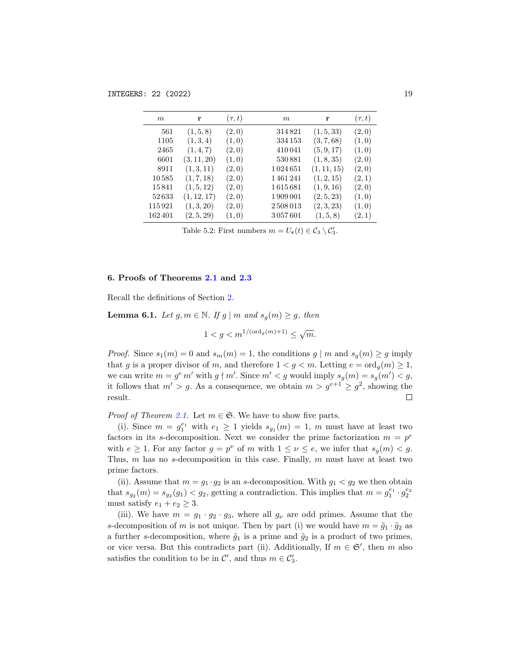<span id="page-18-1"></span>

| m      | r           | $(\tau, t)$ | m       | r           | $(\tau, t)$ |
|--------|-------------|-------------|---------|-------------|-------------|
| 561    | (1, 5, 8)   | (2,0)       | 314821  | (1, 5, 33)  | (2,0)       |
| 1105   | (1,3,4)     | (1,0)       | 334 153 | (3, 7, 68)  | (1,0)       |
| 2465   | (1,4,7)     | (2,0)       | 410041  | (5, 9, 17)  | (1,0)       |
| 6601   | (3, 11, 20) | (1,0)       | 530881  | (1, 8, 35)  | (2,0)       |
| 8911   | (1,3,11)    | (2,0)       | 1024651 | (1, 11, 15) | (2,0)       |
| 10585  | (1, 7, 18)  | (2,0)       | 1461241 | (1, 2, 15)  | (2,1)       |
| 15841  | (1, 5, 12)  | (2,0)       | 1615681 | (1, 9, 16)  | (2,0)       |
| 52633  | (1, 12, 17) | (2,0)       | 1909001 | (2, 5, 23)  | (1,0)       |
| 115921 | (1, 3, 20)  | (2,0)       | 2508013 | (2, 3, 23)  | (1,0)       |
| 162401 | (2, 5, 29)  | (1,0)       | 3057601 | (1, 5, 8)   | (2,1)       |

Table 5.2: First numbers  $m = U_{\mathbf{r}}(t) \in C_3 \setminus C'_3$ .

## <span id="page-18-0"></span>6. Proofs of Theorems [2.1](#page-6-0) and [2.3](#page-7-1)

Recall the definitions of Section [2.](#page-5-0)

<span id="page-18-2"></span>**Lemma 6.1.** Let  $g, m \in \mathbb{N}$ . If  $g \mid m$  and  $s_g(m) \geq g$ , then

$$
1 < g < m^{1/(\text{ord}_g(m)+1)} \le \sqrt{m}.
$$

*Proof.* Since  $s_1(m) = 0$  and  $s_m(m) = 1$ , the conditions  $g \mid m$  and  $s_q(m) \ge g$  imply that g is a proper divisor of m, and therefore  $1 < g < m$ . Letting  $e = \text{ord}_q(m) \ge 1$ , we can write  $m = g^e m'$  with  $g \nmid m'$ . Since  $m' < g$  would imply  $s_g(m) = s_g(m') < g$ , it follows that  $m' > g$ . As a consequence, we obtain  $m > g^{e+1} \geq g^2$ , showing the result.  $\Box$ 

*Proof of Theorem [2.1.](#page-6-0)* Let  $m \in \mathfrak{S}$ . We have to show five parts.

(i). Since  $m = g_1^{e_1}$  with  $e_1 \geq 1$  yields  $s_{g_1}(m) = 1$ , m must have at least two factors in its s-decomposition. Next we consider the prime factorization  $m = p^e$ with  $e \geq 1$ . For any factor  $g = p^{\nu}$  of m with  $1 \leq \nu \leq e$ , we infer that  $s_g(m) < g$ . Thus,  $m$  has no s-decomposition in this case. Finally,  $m$  must have at least two prime factors.

(ii). Assume that  $m = g_1 \cdot g_2$  is an s-decomposition. With  $g_1 < g_2$  we then obtain that  $s_{g_2}(m) = s_{g_2}(g_1) < g_2$ , getting a contradiction. This implies that  $m = g_1^{e_1} \cdot g_2^{e_2}$ must satisfy  $e_1 + e_2 \geq 3$ .

(iii). We have  $m = g_1 \cdot g_2 \cdot g_3$ , where all  $g_{\nu}$  are odd primes. Assume that the s-decomposition of m is not unique. Then by part (i) we would have  $m = \tilde{g}_1 \cdot \tilde{g}_2$  as a further s-decomposition, where  $\tilde{g}_1$  is a prime and  $\tilde{g}_2$  is a product of two primes, or vice versa. But this contradicts part (ii). Additionally, If  $m \in \mathfrak{S}'$ , then m also satisfies the condition to be in  $\mathcal{C}'$ , and thus  $m \in \mathcal{C}'_3$ .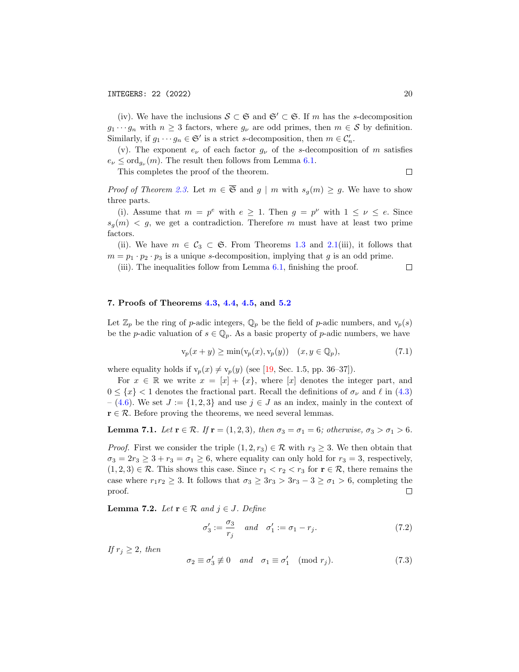(iv). We have the inclusions  $S \subset \mathfrak{S}$  and  $\mathfrak{S}' \subset \mathfrak{S}$ . If m has the s-decomposition  $g_1 \cdots g_n$  with  $n \geq 3$  factors, where  $g_{\nu}$  are odd primes, then  $m \in \mathcal{S}$  by definition. Similarly, if  $g_1 \cdots g_n \in \mathfrak{S}'$  is a strict s-decomposition, then  $m \in \mathcal{C}'_n$ .

(v). The exponent  $e_{\nu}$  of each factor  $g_{\nu}$  of the s-decomposition of m satisfies  $e_{\nu} \leq \text{ord}_{g_{\nu}}(m)$ . The result then follows from Lemma [6.1.](#page-18-2)

This completes the proof of the theorem.

$$
\Box
$$

*Proof of Theorem [2.3.](#page-7-1)* Let  $m \in \overline{\mathfrak{S}}$  and  $g \mid m$  with  $s_q(m) \geq g$ . We have to show three parts.

(i). Assume that  $m = p^e$  with  $e \geq 1$ . Then  $g = p^{\nu}$  with  $1 \leq \nu \leq e$ . Since  $s_g(m) \leq g$ , we get a contradiction. Therefore m must have at least two prime factors.

(ii). We have  $m \in \mathcal{C}_3 \subset \mathfrak{S}$ . From Theorems [1.3](#page-1-0) and [2.1\(](#page-6-0)iii), it follows that  $m = p_1 \cdot p_2 \cdot p_3$  is a unique s-decomposition, implying that g is an odd prime.

(iii). The inequalities follow from Lemma [6.1,](#page-18-2) finishing the proof.  $\Box$ 

## <span id="page-19-5"></span>7. Proofs of Theorems [4.3,](#page-12-2) [4.4,](#page-13-0) [4.5,](#page-13-1) and [5.2](#page-16-0)

Let  $\mathbb{Z}_p$  be the ring of p-adic integers,  $\mathbb{Q}_p$  be the field of p-adic numbers, and  $v_p(s)$ be the p-adic valuation of  $s \in \mathbb{Q}_p$ . As a basic property of p-adic numbers, we have

<span id="page-19-4"></span>
$$
\mathbf{v}_p(x+y) \ge \min(\mathbf{v}_p(x), \mathbf{v}_p(y)) \quad (x, y \in \mathbb{Q}_p),\tag{7.1}
$$

where equality holds if  $v_p(x) \neq v_p(y)$  (see [\[19,](#page-38-15) Sec. 1.5, pp. 36–37]).

For  $x \in \mathbb{R}$  we write  $x = [x] + \{x\}$ , where [x] denotes the integer part, and  $0 \leq \{x\} < 1$  denotes the fractional part. Recall the definitions of  $\sigma_{\nu}$  and  $\ell$  in [\(4.3\)](#page-11-2) – [\(4.6\)](#page-11-1). We set  $J := \{1, 2, 3\}$  and use  $j \in J$  as an index, mainly in the context of  $\mathbf{r} \in \mathcal{R}$ . Before proving the theorems, we need several lemmas.

<span id="page-19-1"></span>Lemma 7.1. Let  $\mathbf{r} \in \mathcal{R}$ . If  $\mathbf{r} = (1, 2, 3)$ , then  $\sigma_3 = \sigma_1 = 6$ ; otherwise,  $\sigma_3 > \sigma_1 > 6$ .

*Proof.* First we consider the triple  $(1, 2, r_3) \in \mathcal{R}$  with  $r_3 \geq 3$ . We then obtain that  $\sigma_3 = 2r_3 \geq 3 + r_3 = \sigma_1 \geq 6$ , where equality can only hold for  $r_3 = 3$ , respectively,  $(1, 2, 3) \in \mathcal{R}$ . This shows this case. Since  $r_1 < r_2 < r_3$  for  $r \in \mathcal{R}$ , there remains the case where  $r_1r_2 \geq 3$ . It follows that  $\sigma_3 \geq 3r_3 > 3r_3 - 3 \geq \sigma_1 > 6$ , completing the proof.  $\Box$ 

<span id="page-19-2"></span>**Lemma 7.2.** Let  $\mathbf{r} \in \mathcal{R}$  and  $j \in J$ . Define

<span id="page-19-3"></span>
$$
\sigma_3' := \frac{\sigma_3}{r_j} \quad and \quad \sigma_1' := \sigma_1 - r_j. \tag{7.2}
$$

If  $r_j \geq 2$ , then

<span id="page-19-0"></span>
$$
\sigma_2 \equiv \sigma_3' \not\equiv 0 \quad and \quad \sigma_1 \equiv \sigma_1' \pmod{r_j}.
$$
 (7.3)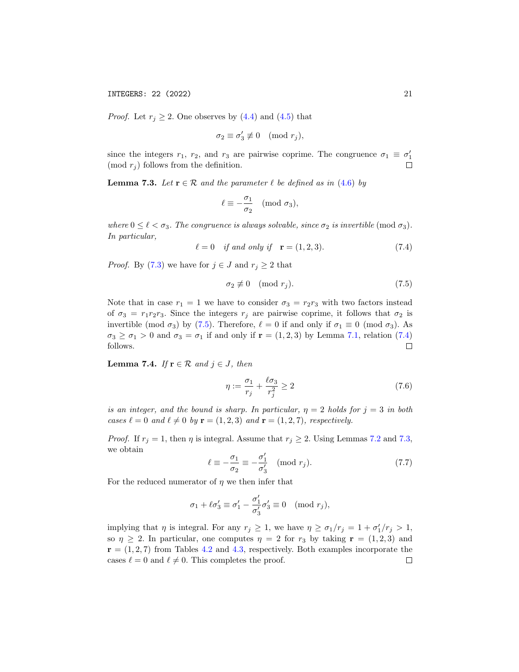INTEGERS: 22 (2022) 21

*Proof.* Let  $r_j \geq 2$ . One observes by [\(4.4\)](#page-11-3) and [\(4.5\)](#page-11-4) that

$$
\sigma_2 \equiv \sigma_3' \not\equiv 0 \pmod{r_j},
$$

since the integers  $r_1$ ,  $r_2$ , and  $r_3$  are pairwise coprime. The congruence  $\sigma_1 \equiv \sigma'_1$ (mod  $r_i$ ) follows from the definition.  $\Box$ 

<span id="page-20-0"></span>**Lemma 7.3.** Let  $\mathbf{r} \in \mathcal{R}$  and the parameter  $\ell$  be defined as in [\(4.6\)](#page-11-1) by

$$
\ell \equiv -\frac{\sigma_1}{\sigma_2} \pmod{\sigma_3},
$$

where  $0 \leq \ell < \sigma_3$ . The congruence is always solvable, since  $\sigma_2$  is invertible (mod  $\sigma_3$ ). In particular,

<span id="page-20-2"></span>
$$
\ell = 0
$$
 if and only if  $\mathbf{r} = (1, 2, 3).$  (7.4)

*Proof.* By [\(7.3\)](#page-19-0) we have for  $j \in J$  and  $r_j \geq 2$  that

<span id="page-20-1"></span>
$$
\sigma_2 \not\equiv 0 \pmod{r_j}.\tag{7.5}
$$

Note that in case  $r_1 = 1$  we have to consider  $\sigma_3 = r_2r_3$  with two factors instead of  $\sigma_3 = r_1 r_2 r_3$ . Since the integers  $r_j$  are pairwise coprime, it follows that  $\sigma_2$  is invertible (mod  $\sigma_3$ ) by [\(7.5\)](#page-20-1). Therefore,  $\ell = 0$  if and only if  $\sigma_1 \equiv 0 \pmod{\sigma_3}$ . As  $\sigma_3 \geq \sigma_1 > 0$  and  $\sigma_3 = \sigma_1$  if and only if  $\mathbf{r} = (1, 2, 3)$  by Lemma [7.1,](#page-19-1) relation [\(7.4\)](#page-20-2) follows.  $\Box$ 

<span id="page-20-5"></span>Lemma 7.4. If  $r \in \mathcal{R}$  and  $j \in J$ , then

<span id="page-20-4"></span>
$$
\eta := \frac{\sigma_1}{r_j} + \frac{\ell \sigma_3}{r_j^2} \ge 2\tag{7.6}
$$

is an integer, and the bound is sharp. In particular,  $\eta = 2$  holds for  $j = 3$  in both cases  $\ell = 0$  and  $\ell \neq 0$  by  $\mathbf{r} = (1, 2, 3)$  and  $\mathbf{r} = (1, 2, 7)$ , respectively.

*Proof.* If  $r_j = 1$ , then  $\eta$  is integral. Assume that  $r_j \geq 2$ . Using Lemmas [7.2](#page-19-2) and [7.3,](#page-20-0) we obtain

<span id="page-20-3"></span>
$$
\ell \equiv -\frac{\sigma_1}{\sigma_2} \equiv -\frac{\sigma'_1}{\sigma'_3} \pmod{r_j}.
$$
 (7.7)

For the reduced numerator of  $\eta$  we then infer that

$$
\sigma_1 + \ell \sigma_3' \equiv \sigma_1' - \frac{\sigma_1'}{\sigma_3'} \sigma_3' \equiv 0 \pmod{r_j},
$$

implying that  $\eta$  is integral. For any  $r_j \geq 1$ , we have  $\eta \geq \sigma_1/r_j = 1 + \sigma'_1/r_j > 1$ , so  $\eta \geq 2$ . In particular, one computes  $\eta = 2$  for  $r_3$  by taking  $\mathbf{r} = (1, 2, 3)$  and  $\mathbf{r} = (1, 2, 7)$  from Tables [4.2](#page-14-0) and [4.3,](#page-15-2) respectively. Both examples incorporate the cases  $\ell = 0$  and  $\ell \neq 0$ . This completes the proof.  $\Box$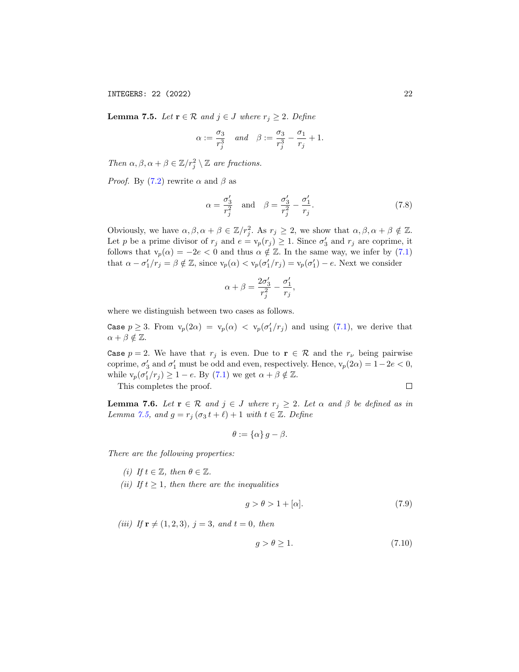INTEGERS: 22 (2022) 22

<span id="page-21-0"></span>**Lemma 7.5.** Let  $\mathbf{r} \in \mathcal{R}$  and  $j \in J$  where  $r_j \geq 2$ . Define

$$
\alpha := \frac{\sigma_3}{r_j^3} \quad \text{and} \quad \beta := \frac{\sigma_3}{r_j^3} - \frac{\sigma_1}{r_j} + 1.
$$

Then  $\alpha, \beta, \alpha + \beta \in \mathbb{Z}/r_j^2 \setminus \mathbb{Z}$  are fractions.

*Proof.* By [\(7.2\)](#page-19-3) rewrite  $\alpha$  and  $\beta$  as

<span id="page-21-1"></span>
$$
\alpha = \frac{\sigma'_3}{r_j^2} \quad \text{and} \quad \beta = \frac{\sigma'_3}{r_j^2} - \frac{\sigma'_1}{r_j}.\tag{7.8}
$$

Obviously, we have  $\alpha, \beta, \alpha + \beta \in \mathbb{Z}/r_j^2$ . As  $r_j \geq 2$ , we show that  $\alpha, \beta, \alpha + \beta \notin \mathbb{Z}$ . Let p be a prime divisor of  $r_j$  and  $e = v_p(r_j) \geq 1$ . Since  $\sigma'_3$  and  $r_j$  are coprime, it follows that  $v_p(\alpha) = -2e < 0$  and thus  $\alpha \notin \mathbb{Z}$ . In the same way, we infer by [\(7.1\)](#page-19-4) that  $\alpha - \sigma'_1/r_j = \beta \notin \mathbb{Z}$ , since  $v_p(\alpha) < v_p(\sigma'_1/r_j) = v_p(\sigma'_1) - e$ . Next we consider

$$
\alpha + \beta = \frac{2\sigma'_3}{r_j^2} - \frac{\sigma'_1}{r_j},
$$

where we distinguish between two cases as follows.

Case  $p \ge 3$ . From  $v_p(2\alpha) = v_p(\alpha) < v_p(\sigma'_1/r_j)$  and using [\(7.1\)](#page-19-4), we derive that  $\alpha + \beta \notin \mathbb{Z}$ .

Case  $p = 2$ . We have that  $r_j$  is even. Due to  $\mathbf{r} \in \mathcal{R}$  and the  $r_{\nu}$  being pairwise coprime,  $\sigma'_3$  and  $\sigma'_1$  must be odd and even, respectively. Hence,  $v_p(2\alpha) = 1 - 2e < 0$ , while  $v_p(\sigma'_1/r_j) \geq 1 - e$ . By [\(7.1\)](#page-19-4) we get  $\alpha + \beta \notin \mathbb{Z}$ .

This completes the proof.

<span id="page-21-4"></span>**Lemma 7.6.** Let  $\mathbf{r} \in \mathcal{R}$  and  $j \in J$  where  $r_j \geq 2$ . Let  $\alpha$  and  $\beta$  be defined as in Lemma [7.5,](#page-21-0) and  $g = r_j (\sigma_3 t + \ell) + 1$  with  $t \in \mathbb{Z}$ . Define

$$
\theta:=\{\alpha\}\,g-\beta.
$$

There are the following properties:

- (i) If  $t \in \mathbb{Z}$ , then  $\theta \in \mathbb{Z}$ .
- (ii) If  $t \geq 1$ , then there are the inequalities

<span id="page-21-2"></span>
$$
g > \theta > 1 + [\alpha]. \tag{7.9}
$$

(iii) If  $\mathbf{r} \neq (1, 2, 3), j = 3, and t = 0, then$ 

<span id="page-21-3"></span>
$$
g > \theta \ge 1. \tag{7.10}
$$

 $\Box$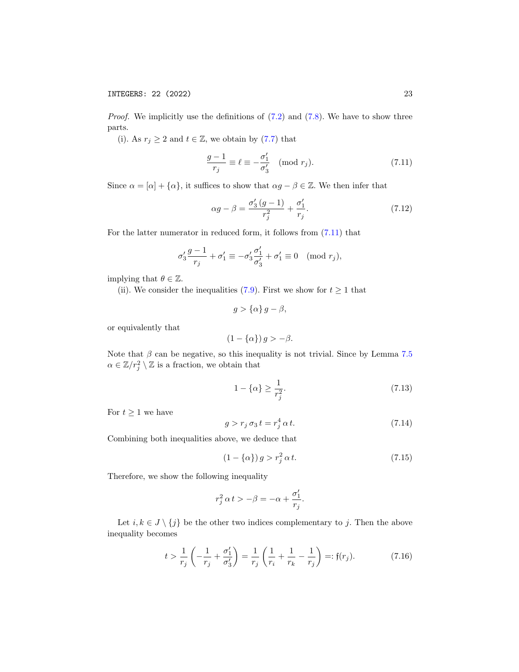*Proof.* We implicitly use the definitions of  $(7.2)$  and  $(7.8)$ . We have to show three parts.

(i). As  $r_j \geq 2$  and  $t \in \mathbb{Z}$ , we obtain by [\(7.7\)](#page-20-3) that

<span id="page-22-0"></span>
$$
\frac{g-1}{r_j} \equiv \ell \equiv -\frac{\sigma'_1}{\sigma'_3} \pmod{r_j}.
$$
 (7.11)

Since  $\alpha = [\alpha] + {\alpha}$ , it suffices to show that  $\alpha g - \beta \in \mathbb{Z}$ . We then infer that

<span id="page-22-5"></span>
$$
\alpha g - \beta = \frac{\sigma_3'(g-1)}{r_j^2} + \frac{\sigma_1'}{r_j}.
$$
 (7.12)

For the latter numerator in reduced form, it follows from [\(7.11\)](#page-22-0) that

$$
\sigma_3' \frac{g-1}{r_j} + \sigma_1' \equiv -\sigma_3' \frac{\sigma_1'}{\sigma_3'} + \sigma_1' \equiv 0 \pmod{r_j},
$$

implying that  $\theta \in \mathbb{Z}$ .

(ii). We consider the inequalities [\(7.9\)](#page-21-2). First we show for  $t \ge 1$  that

$$
g > {\alpha} g - \beta,
$$

or equivalently that

$$
(1 - {\alpha}) g > -\beta.
$$

Note that  $\beta$  can be negative, so this inequality is not trivial. Since by Lemma [7.5](#page-21-0)  $\alpha \in \mathbb{Z}/r_j^2 \setminus \mathbb{Z}$  is a fraction, we obtain that

<span id="page-22-2"></span>
$$
1 - \{\alpha\} \ge \frac{1}{r_j^2}.\tag{7.13}
$$

For  $t \geq 1$  we have

<span id="page-22-4"></span>
$$
g > r_j \sigma_3 t = r_j^4 \alpha t. \tag{7.14}
$$

Combining both inequalities above, we deduce that

<span id="page-22-3"></span>
$$
(1 - {\alpha}) g > r_j^2 \alpha t. \tag{7.15}
$$

Therefore, we show the following inequality

$$
r_j^2 \, \alpha \, t > -\beta = -\alpha + \frac{\sigma'_1}{r_j}.
$$

Let  $i, k \in J \setminus \{j\}$  be the other two indices complementary to j. Then the above inequality becomes

<span id="page-22-1"></span>
$$
t > \frac{1}{r_j} \left( -\frac{1}{r_j} + \frac{\sigma'_1}{\sigma'_3} \right) = \frac{1}{r_j} \left( \frac{1}{r_i} + \frac{1}{r_k} - \frac{1}{r_j} \right) =: \mathfrak{f}(r_j). \tag{7.16}
$$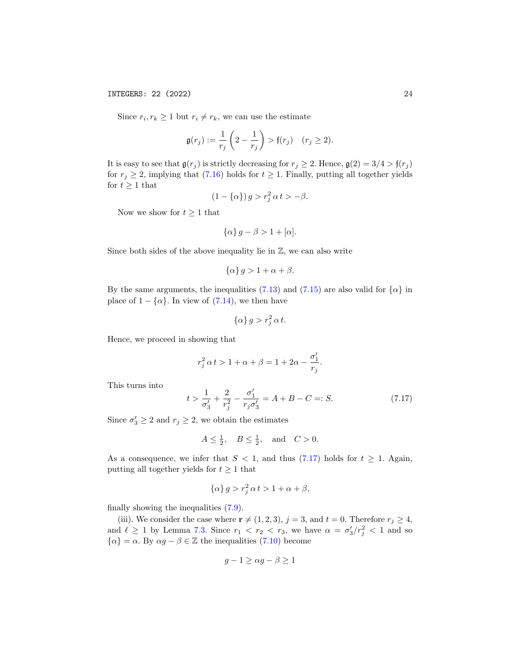Since  $r_i, r_k \geq 1$  but  $r_i \neq r_k$ , we can use the estimate

$$
\mathfrak{g}(r_j) := \frac{1}{r_j} \left( 2 - \frac{1}{r_j} \right) > \mathfrak{f}(r_j) \quad (r_j \ge 2).
$$

It is easy to see that  $\mathfrak{g}(r_j)$  is strictly decreasing for  $r_j \geq 2$ . Hence,  $\mathfrak{g}(2) = 3/4 > \mathfrak{f}(r_j)$ for  $r_j \geq 2$ , implying that [\(7.16\)](#page-22-1) holds for  $t \geq 1$ . Finally, putting all together yields for  $t \geq 1$  that

$$
(1 - {\alpha}) g > r_j^2 \alpha t > -\beta.
$$

Now we show for  $t \geq 1$  that

$$
\{\alpha\} g - \beta > 1 + [\alpha].
$$

Since both sides of the above inequality lie in  $\mathbb{Z}$ , we can also write

$$
\{\alpha\} g > 1 + \alpha + \beta.
$$

By the same arguments, the inequalities [\(7.13\)](#page-22-2) and [\(7.15\)](#page-22-3) are also valid for  $\{\alpha\}$  in place of  $1 - {\alpha}$ . In view of [\(7.14\)](#page-22-4), we then have

$$
\{\alpha\} g > r_j^2 \alpha t.
$$

Hence, we proceed in showing that

$$
r_j^2 \, \alpha \, t > 1 + \alpha + \beta = 1 + 2 \alpha - \frac{\sigma'_1}{r_j}.
$$

This turns into

<span id="page-23-0"></span>
$$
t > \frac{1}{\sigma_3'} + \frac{2}{r_j^2} - \frac{\sigma_1'}{r_j \sigma_3'} = A + B - C =: S.
$$
 (7.17)

Since  $\sigma'_3 \ge 2$  and  $r_j \ge 2$ , we obtain the estimates

$$
A \le \frac{1}{2}, \quad B \le \frac{1}{2}, \quad \text{and} \quad C > 0.
$$

As a consequence, we infer that  $S < 1$ , and thus [\(7.17\)](#page-23-0) holds for  $t \ge 1$ . Again, putting all together yields for  $t \geq 1$  that

$$
\{\alpha\} g > r_j^2 \alpha t > 1 + \alpha + \beta,
$$

finally showing the inequalities [\(7.9\)](#page-21-2).

(iii). We consider the case where  $\mathbf{r} \neq (1, 2, 3), j = 3$ , and  $t = 0$ . Therefore  $r_j \geq 4$ , and  $\ell \geq 1$  by Lemma [7.3.](#page-20-0) Since  $r_1 < r_2 < r_3$ , we have  $\alpha = \sigma_3'/r_j^2 < 1$  and so  $\{\alpha\} = \alpha$ . By  $\alpha g - \beta \in \mathbb{Z}$  the inequalities [\(7.10\)](#page-21-3) become

$$
g - 1 \ge \alpha g - \beta \ge 1
$$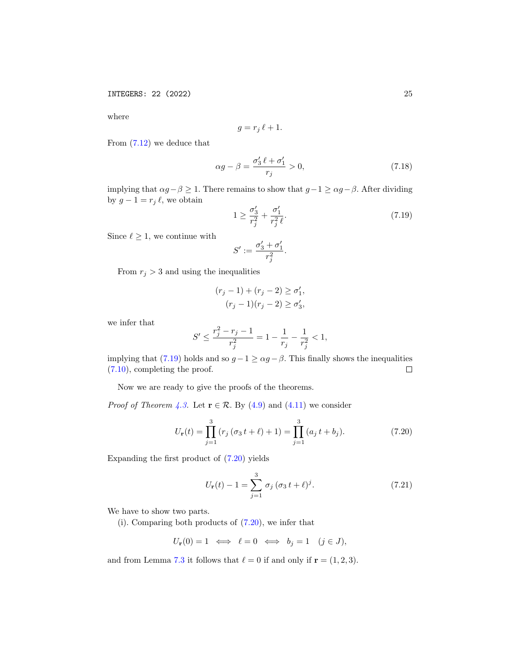where

$$
g = r_j \, \ell + 1.
$$

From [\(7.12\)](#page-22-5) we deduce that

<span id="page-24-3"></span>
$$
\alpha g - \beta = \frac{\sigma_3' \ell + \sigma_1'}{r_j} > 0,\tag{7.18}
$$

implying that  $\alpha g - \beta \geq 1$ . There remains to show that  $g - 1 \geq \alpha g - \beta$ . After dividing by  $g - 1 = r_j \ell$ , we obtain

<span id="page-24-0"></span>
$$
1 \ge \frac{\sigma_3'}{r_j^2} + \frac{\sigma_1'}{r_j^2 \ell}.
$$
\n(7.19)

Since  $\ell \geq 1$ , we continue with

$$
S':=\frac{\sigma'_3+\sigma'_1}{r_j^2}.
$$

From  $r_j > 3$  and using the inequalities

$$
(r_j - 1) + (r_j - 2) \ge \sigma'_1,(r_j - 1)(r_j - 2) \ge \sigma'_3,
$$

we infer that

$$
S'\leq \frac{r_j^2-r_j-1}{r_j^2}=1-\frac{1}{r_j}-\frac{1}{r_j^2}<1,
$$

implying that [\(7.19\)](#page-24-0) holds and so  $g - 1 \ge \alpha g - \beta$ . This finally shows the inequalities [\(7.10\)](#page-21-3), completing the proof.  $\Box$ 

Now we are ready to give the proofs of the theorems.

*Proof of Theorem [4.3.](#page-12-2)* Let  $\mathbf{r} \in \mathcal{R}$ . By [\(4.9\)](#page-12-1) and [\(4.11\)](#page-12-3) we consider

<span id="page-24-1"></span>
$$
U_{\mathbf{r}}(t) = \prod_{j=1}^{3} (r_j (\sigma_3 t + \ell) + 1) = \prod_{j=1}^{3} (a_j t + b_j).
$$
 (7.20)

Expanding the first product of [\(7.20\)](#page-24-1) yields

<span id="page-24-2"></span>
$$
U_{\mathbf{r}}(t) - 1 = \sum_{j=1}^{3} \sigma_j (\sigma_3 t + \ell)^j.
$$
 (7.21)

We have to show two parts.

(i). Comparing both products of [\(7.20\)](#page-24-1), we infer that

$$
U_{\mathbf{r}}(0) = 1 \iff \ell = 0 \iff b_j = 1 \quad (j \in J),
$$

and from Lemma [7.3](#page-20-0) it follows that  $\ell = 0$  if and only if  $\mathbf{r} = (1, 2, 3)$ .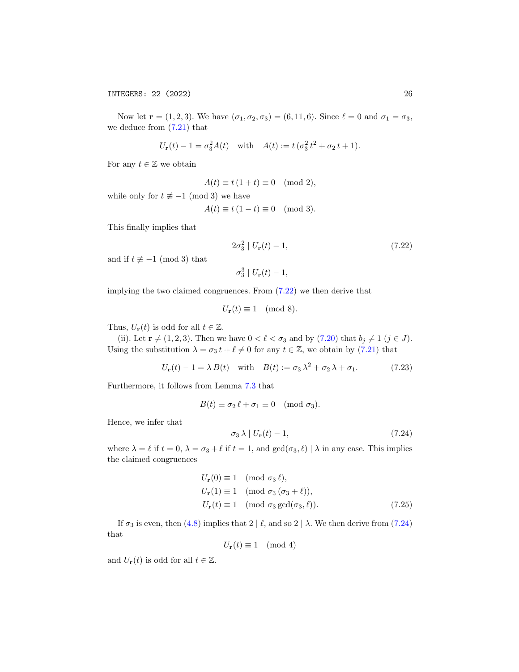Now let  $r = (1, 2, 3)$ . We have  $(\sigma_1, \sigma_2, \sigma_3) = (6, 11, 6)$ . Since  $\ell = 0$  and  $\sigma_1 = \sigma_3$ , we deduce from  $(7.21)$  that

$$
U_{\mathbf{r}}(t) - 1 = \sigma_3^2 A(t)
$$
 with  $A(t) := t (\sigma_3^2 t^2 + \sigma_2 t + 1)$ .

For any  $t \in \mathbb{Z}$  we obtain

$$
A(t) \equiv t(1+t) \equiv 0 \pmod{2},
$$

while only for  $t \not\equiv -1 \pmod{3}$  we have

$$
A(t) \equiv t(1-t) \equiv 0 \pmod{3}.
$$

This finally implies that

$$
2\sigma_3^2 | U_{\mathbf{r}}(t) - 1,
$$
\n(7.22)

and if  $t \not\equiv -1 \pmod{3}$  that

<span id="page-25-0"></span>
$$
\sigma_3^3 \mid U_{\mathbf{r}}(t) - 1,
$$

implying the two claimed congruences. From [\(7.22\)](#page-25-0) we then derive that

$$
U_{\mathbf{r}}(t) \equiv 1 \pmod{8}.
$$

Thus,  $U_{\mathbf{r}}(t)$  is odd for all  $t \in \mathbb{Z}$ .

(ii). Let  $\mathbf{r} \neq (1, 2, 3)$ . Then we have  $0 < \ell < \sigma_3$  and by [\(7.20\)](#page-24-1) that  $b_j \neq 1$  ( $j \in J$ ). Using the substitution  $\lambda = \sigma_3 t + \ell \neq 0$  for any  $t \in \mathbb{Z}$ , we obtain by [\(7.21\)](#page-24-2) that

<span id="page-25-2"></span>
$$
U_{\mathbf{r}}(t) - 1 = \lambda B(t) \quad \text{with} \quad B(t) := \sigma_3 \lambda^2 + \sigma_2 \lambda + \sigma_1. \tag{7.23}
$$

Furthermore, it follows from Lemma [7.3](#page-20-0) that

$$
B(t) \equiv \sigma_2 \, \ell + \sigma_1 \equiv 0 \pmod{\sigma_3}.
$$

Hence, we infer that

<span id="page-25-3"></span><span id="page-25-1"></span>
$$
\sigma_3 \lambda \mid U_{\mathbf{r}}(t) - 1,\tag{7.24}
$$

where  $\lambda = \ell$  if  $t = 0$ ,  $\lambda = \sigma_3 + \ell$  if  $t = 1$ , and  $gcd(\sigma_3, \ell) | \lambda$  in any case. This implies the claimed congruences

$$
U_{\mathbf{r}}(0) \equiv 1 \pmod{\sigma_3 \ell},
$$
  
\n
$$
U_{\mathbf{r}}(1) \equiv 1 \pmod{\sigma_3 (\sigma_3 + \ell)},
$$
  
\n
$$
U_{\mathbf{r}}(t) \equiv 1 \pmod{\sigma_3 \gcd(\sigma_3, \ell)}.
$$
\n(7.25)

If  $\sigma_3$  is even, then [\(4.8\)](#page-11-5) implies that 2 |  $\ell$ , and so 2 |  $\lambda$ . We then derive from [\(7.24\)](#page-25-1) that

$$
U_{\mathbf{r}}(t) \equiv 1 \pmod{4}
$$

and  $U_{\mathbf{r}}(t)$  is odd for all  $t \in \mathbb{Z}$ .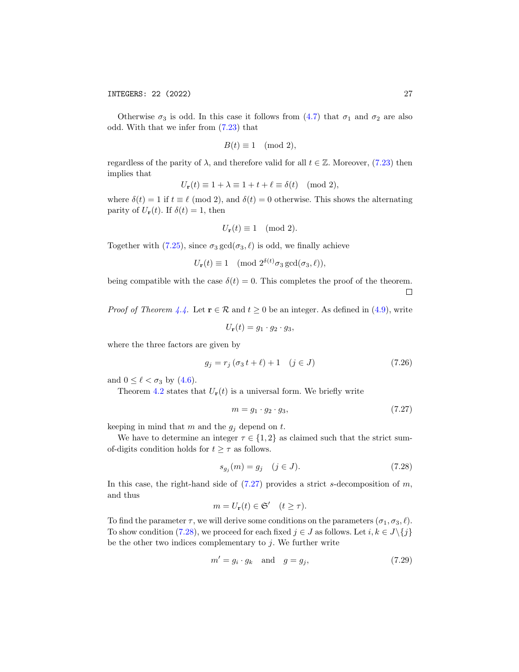Otherwise  $\sigma_3$  is odd. In this case it follows from [\(4.7\)](#page-11-6) that  $\sigma_1$  and  $\sigma_2$  are also odd. With that we infer from [\(7.23\)](#page-25-2) that

$$
B(t) \equiv 1 \pmod{2},
$$

regardless of the parity of  $\lambda$ , and therefore valid for all  $t \in \mathbb{Z}$ . Moreover, [\(7.23\)](#page-25-2) then implies that

$$
U_{\mathbf{r}}(t) \equiv 1 + \lambda \equiv 1 + t + \ell \equiv \delta(t) \pmod{2},
$$

where  $\delta(t) = 1$  if  $t \equiv \ell \pmod{2}$ , and  $\delta(t) = 0$  otherwise. This shows the alternating parity of  $U_{\mathbf{r}}(t)$ . If  $\delta(t) = 1$ , then

$$
U_{\mathbf{r}}(t) \equiv 1 \pmod{2}.
$$

Together with [\(7.25\)](#page-25-3), since  $\sigma_3 \gcd(\sigma_3, \ell)$  is odd, we finally achieve

$$
U_{\mathbf{r}}(t) \equiv 1 \pmod{2^{\delta(t)} \sigma_3 \gcd(\sigma_3, \ell)},
$$

being compatible with the case  $\delta(t) = 0$ . This completes the proof of the theorem.  $\Box$ 

*Proof of Theorem [4.4.](#page-13-0)* Let  $\mathbf{r} \in \mathcal{R}$  and  $t \geq 0$  be an integer. As defined in [\(4.9\)](#page-12-1), write

$$
U_{\mathbf{r}}(t)=g_1\cdot g_2\cdot g_3,
$$

where the three factors are given by

<span id="page-26-2"></span>
$$
g_j = r_j (\sigma_3 t + \ell) + 1 \quad (j \in J)
$$
\n(7.26)

and  $0 \leq \ell < \sigma_3$  by  $(4.6)$ .

Theorem [4.2](#page-12-0) states that  $U_r(t)$  is a universal form. We briefly write

<span id="page-26-0"></span>
$$
m = g_1 \cdot g_2 \cdot g_3,\tag{7.27}
$$

keeping in mind that m and the  $g_j$  depend on t.

We have to determine an integer  $\tau \in \{1,2\}$  as claimed such that the strict sumof-digits condition holds for  $t \geq \tau$  as follows.

<span id="page-26-1"></span>
$$
s_{g_j}(m) = g_j \quad (j \in J). \tag{7.28}
$$

In this case, the right-hand side of  $(7.27)$  provides a strict s-decomposition of m, and thus

$$
m = U_{\mathbf{r}}(t) \in \mathfrak{S}' \quad (t \ge \tau).
$$

To find the parameter  $\tau$ , we will derive some conditions on the parameters  $(\sigma_1, \sigma_3, \ell)$ . To show condition [\(7.28\)](#page-26-1), we proceed for each fixed  $j \in J$  as follows. Let  $i, k \in J\backslash\{j\}$ be the other two indices complementary to  $j$ . We further write

<span id="page-26-3"></span>
$$
m' = g_i \cdot g_k \quad \text{and} \quad g = g_j,\tag{7.29}
$$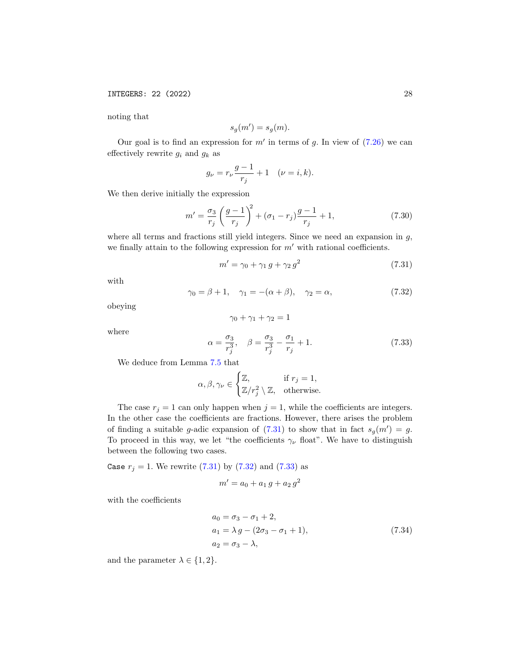noting that

$$
s_g(m') = s_g(m).
$$

Our goal is to find an expression for  $m'$  in terms of g. In view of  $(7.26)$  we can effectively rewrite  $g_i$  and  $g_k$  as

$$
g_{\nu}=r_{\nu}\frac{g-1}{r_j}+1\quad(\nu=i,k).
$$

We then derive initially the expression

<span id="page-27-4"></span>
$$
m' = \frac{\sigma_3}{r_j} \left(\frac{g-1}{r_j}\right)^2 + (\sigma_1 - r_j) \frac{g-1}{r_j} + 1, \tag{7.30}
$$

where all terms and fractions still yield integers. Since we need an expansion in  $g$ , we finally attain to the following expression for  $m'$  with rational coefficients.

<span id="page-27-0"></span>
$$
m' = \gamma_0 + \gamma_1 g + \gamma_2 g^2 \tag{7.31}
$$

with

<span id="page-27-1"></span>
$$
\gamma_0 = \beta + 1, \quad \gamma_1 = -(\alpha + \beta), \quad \gamma_2 = \alpha,
$$
\n
$$
(7.32)
$$

obeying

$$
\gamma_0 + \gamma_1 + \gamma_2 = 1
$$

where

<span id="page-27-2"></span>
$$
\alpha = \frac{\sigma_3}{r_j^3}, \quad \beta = \frac{\sigma_3}{r_j^3} - \frac{\sigma_1}{r_j} + 1.
$$
 (7.33)

We deduce from Lemma [7.5](#page-21-0) that

$$
\alpha, \beta, \gamma_{\nu} \in \begin{cases} \mathbb{Z}, & \text{if } r_j = 1, \\ \mathbb{Z}/r_j^2 \setminus \mathbb{Z}, & \text{otherwise.} \end{cases}
$$

The case  $r_j = 1$  can only happen when  $j = 1$ , while the coefficients are integers. In the other case the coefficients are fractions. However, there arises the problem of finding a suitable g-adic expansion of  $(7.31)$  to show that in fact  $s_g(m') = g$ . To proceed in this way, we let "the coefficients  $\gamma_{\nu}$  float". We have to distinguish between the following two cases.

Case  $r_j = 1$ . We rewrite [\(7.31\)](#page-27-0) by [\(7.32\)](#page-27-1) and [\(7.33\)](#page-27-2) as

<span id="page-27-3"></span>
$$
m' = a_0 + a_1 g + a_2 g^2
$$

with the coefficients

$$
a_0 = \sigma_3 - \sigma_1 + 2,
$$
  
\n
$$
a_1 = \lambda g - (2\sigma_3 - \sigma_1 + 1),
$$
  
\n
$$
a_2 = \sigma_3 - \lambda,
$$
\n(7.34)

and the parameter  $\lambda \in \{1, 2\}.$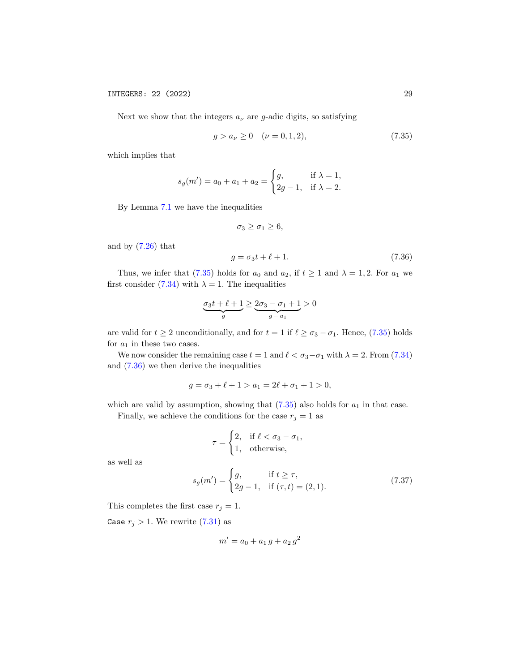Next we show that the integers  $a_{\nu}$  are g-adic digits, so satisfying

<span id="page-28-0"></span>
$$
g > a_{\nu} \ge 0 \quad (\nu = 0, 1, 2), \tag{7.35}
$$

which implies that

$$
s_g(m') = a_0 + a_1 + a_2 = \begin{cases} g, & \text{if } \lambda = 1, \\ 2g - 1, & \text{if } \lambda = 2. \end{cases}
$$

By Lemma [7.1](#page-19-1) we have the inequalities

$$
\sigma_3 \geq \sigma_1 \geq 6,
$$

and by  $(7.26)$  that

<span id="page-28-1"></span>
$$
g = \sigma_3 t + \ell + 1. \tag{7.36}
$$

Thus, we infer that [\(7.35\)](#page-28-0) holds for  $a_0$  and  $a_2$ , if  $t \ge 1$  and  $\lambda = 1, 2$ . For  $a_1$  we first consider [\(7.34\)](#page-27-3) with  $\lambda = 1$ . The inequalities

$$
\underbrace{\sigma_3 t + \ell + 1}_{g} \geq \underbrace{2\sigma_3 - \sigma_1 + 1}_{g-a_1} > 0
$$

are valid for  $t \geq 2$  unconditionally, and for  $t = 1$  if  $\ell \geq \sigma_3 - \sigma_1$ . Hence, [\(7.35\)](#page-28-0) holds for  $a_1$  in these two cases.

We now consider the remaining case  $t = 1$  and  $\ell < \sigma_3 - \sigma_1$  with  $\lambda = 2$ . From [\(7.34\)](#page-27-3) and [\(7.36\)](#page-28-1) we then derive the inequalities

$$
g = \sigma_3 + \ell + 1 > a_1 = 2\ell + \sigma_1 + 1 > 0,
$$

which are valid by assumption, showing that  $(7.35)$  also holds for  $a_1$  in that case. Finally, we achieve the conditions for the case  $r_j = 1$  as

<span id="page-28-2"></span>
$$
\tau = \begin{cases} 2, & \text{if } \ell < \sigma_3 - \sigma_1, \\ 1, & \text{otherwise,} \end{cases}
$$

as well as

$$
s_g(m') = \begin{cases} g, & \text{if } t \ge \tau, \\ 2g - 1, & \text{if } (\tau, t) = (2, 1). \end{cases}
$$
 (7.37)

This completes the first case  $r_j = 1$ .

Case  $r_j > 1$ . We rewrite [\(7.31\)](#page-27-0) as

$$
m' = a_0 + a_1 g + a_2 g^2
$$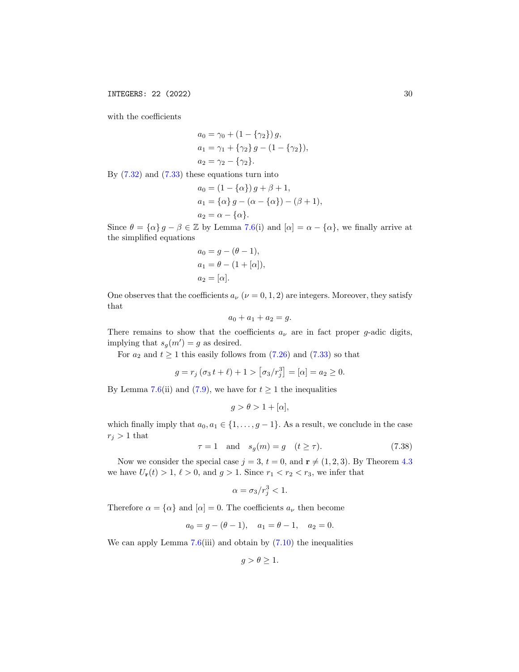with the coefficients

$$
a_0 = \gamma_0 + (1 - \{\gamma_2\}) g,
$$
  
\n
$$
a_1 = \gamma_1 + \{\gamma_2\} g - (1 - \{\gamma_2\}),
$$
  
\n
$$
a_2 = \gamma_2 - \{\gamma_2\}.
$$

By  $(7.32)$  and  $(7.33)$  these equations turn into

$$
a_0 = (1 - {\alpha}) g + \beta + 1,
$$
  
\n
$$
a_1 = {\alpha} g - ({\alpha} - {\alpha}) - (\beta + 1),
$$
  
\n
$$
a_2 = {\alpha} - {\alpha}.
$$

Since  $\theta = {\alpha} g - \beta \in \mathbb{Z}$  by Lemma [7.6\(](#page-21-4)i) and  $[\alpha] = \alpha - {\alpha}$ , we finally arrive at the simplified equations

$$
a_0 = g - (\theta - 1),
$$
  
\n
$$
a_1 = \theta - (1 + [\alpha]),
$$
  
\n
$$
a_2 = [\alpha].
$$

One observes that the coefficients  $a_{\nu}$  ( $\nu = 0, 1, 2$ ) are integers. Moreover, they satisfy that

$$
a_0 + a_1 + a_2 = g.
$$

There remains to show that the coefficients  $a_{\nu}$  are in fact proper g-adic digits, implying that  $s_g(m') = g$  as desired.

For  $a_2$  and  $t \ge 1$  this easily follows from  $(7.26)$  and  $(7.33)$  so that

$$
g = r_j (\sigma_3 t + \ell) + 1 > [\sigma_3/r_j^3] = [\alpha] = a_2 \ge 0.
$$

By Lemma [7.6\(](#page-21-4)ii) and [\(7.9\)](#page-21-2), we have for  $t \ge 1$  the inequalities

$$
g > \theta > 1 + [\alpha],
$$

which finally imply that  $a_0, a_1 \in \{1, \ldots, g-1\}$ . As a result, we conclude in the case  $r_i > 1$  that

<span id="page-29-0"></span>
$$
\tau = 1 \quad \text{and} \quad s_g(m) = g \quad (t \ge \tau). \tag{7.38}
$$

Now we consider the special case  $j = 3$ ,  $t = 0$ , and  $\mathbf{r} \neq (1, 2, 3)$ . By Theorem [4.3](#page-12-2) we have  $U_{\mathbf{r}}(t) > 1, \ell > 0$ , and  $g > 1$ . Since  $r_1 < r_2 < r_3$ , we infer that

$$
\alpha = \sigma_3/r_j^3 < 1.
$$

Therefore  $\alpha = {\alpha}$  and  $[\alpha] = 0$ . The coefficients  $a_{\nu}$  then become

$$
a_0 = g - (\theta - 1), \quad a_1 = \theta - 1, \quad a_2 = 0.
$$

We can apply Lemma  $7.6(iii)$  $7.6(iii)$  and obtain by  $(7.10)$  the inequalities

 $g > \theta \geq 1$ .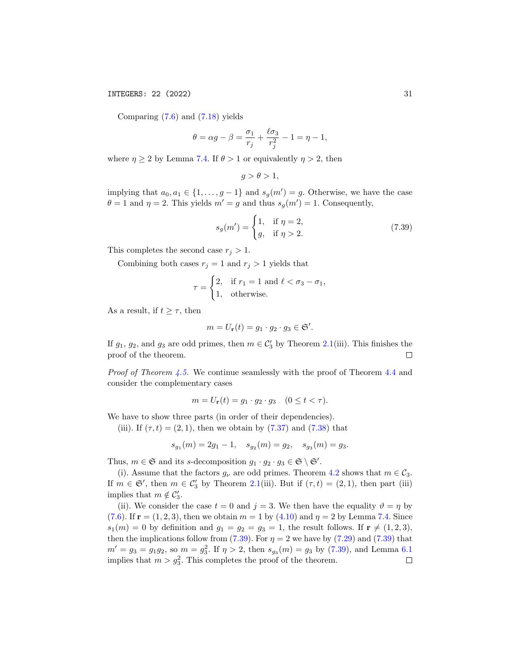INTEGERS: 22 (2022) 31

Comparing [\(7.6\)](#page-20-4) and [\(7.18\)](#page-24-3) yields

$$
\theta = \alpha g - \beta = \frac{\sigma_1}{r_j} + \frac{\ell \sigma_3}{r_j^2} - 1 = \eta - 1,
$$

where  $\eta \geq 2$  by Lemma [7.4.](#page-20-5) If  $\theta > 1$  or equivalently  $\eta > 2$ , then

$$
g > \theta > 1,
$$

implying that  $a_0, a_1 \in \{1, \ldots, g-1\}$  and  $s_g(m') = g$ . Otherwise, we have the case  $\theta = 1$  and  $\eta = 2$ . This yields  $m' = g$  and thus  $s_g(m') = 1$ . Consequently,

<span id="page-30-0"></span>
$$
s_g(m') = \begin{cases} 1, & \text{if } \eta = 2, \\ g, & \text{if } \eta > 2. \end{cases}
$$
 (7.39)

This completes the second case  $r_j > 1$ .

Combining both cases  $r_j = 1$  and  $r_j > 1$  yields that

$$
\tau = \begin{cases} 2, & \text{if } r_1 = 1 \text{ and } \ell < \sigma_3 - \sigma_1, \\ 1, & \text{otherwise.} \end{cases}
$$

As a result, if  $t \geq \tau$ , then

$$
m = U_{\mathbf{r}}(t) = g_1 \cdot g_2 \cdot g_3 \in \mathfrak{S}'.
$$

If  $g_1, g_2$ , and  $g_3$  are odd primes, then  $m \in C'_3$  by Theorem [2.1\(](#page-6-0)iii). This finishes the proof of the theorem.  $\Box$ 

Proof of Theorem [4.5.](#page-13-1) We continue seamlessly with the proof of Theorem [4.4](#page-13-0) and consider the complementary cases

$$
m = U_{\mathbf{r}}(t) = g_1 \cdot g_2 \cdot g_3 \quad (0 \le t < \tau).
$$

We have to show three parts (in order of their dependencies).

(iii). If  $(\tau, t) = (2, 1)$ , then we obtain by  $(7.37)$  and  $(7.38)$  that

$$
s_{g_1}(m) = 2g_1 - 1, \quad s_{g_2}(m) = g_2, \quad s_{g_3}(m) = g_3.
$$

Thus,  $m \in \mathfrak{S}$  and its s-decomposition  $g_1 \cdot g_2 \cdot g_3 \in \mathfrak{S} \setminus \mathfrak{S}'$ .

(i). Assume that the factors  $g_{\nu}$  are odd primes. Theorem [4.2](#page-12-0) shows that  $m \in C_3$ . If  $m \in \mathfrak{S}'$ , then  $m \in \mathcal{C}'_3$  by Theorem [2.1\(](#page-6-0)iii). But if  $(\tau, t) = (2, 1)$ , then part (iii) implies that  $m \notin C'_3$ .

(ii). We consider the case  $t = 0$  and  $j = 3$ . We then have the equality  $\vartheta = \eta$  by [\(7.6\)](#page-20-4). If  $r = (1, 2, 3)$ , then we obtain  $m = 1$  by  $(4.10)$  and  $\eta = 2$  by Lemma [7.4.](#page-20-5) Since  $s_1(m) = 0$  by definition and  $g_1 = g_2 = g_3 = 1$ , the result follows. If  $\mathbf{r} \neq (1, 2, 3)$ , then the implications follow from [\(7.39\)](#page-30-0). For  $\eta = 2$  we have by [\(7.29\)](#page-26-3) and (7.39) that  $m' = g_3 = g_1 g_2$ , so  $m = g_3^2$ . If  $\eta > 2$ , then  $s_{g_3}(m) = g_3$  by [\(7.39\)](#page-30-0), and Lemma [6.1](#page-18-2) implies that  $m > g_3^2$ . This completes the proof of the theorem.  $\Box$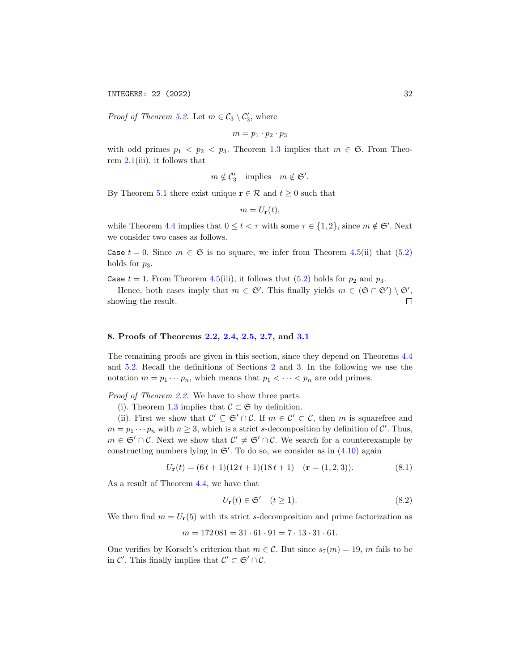INTEGERS: 22 (2022) 32

*Proof of Theorem [5.2.](#page-16-0)* Let  $m \in C_3 \setminus C'_3$ , where

$$
m=p_1\cdot p_2\cdot p_3
$$

with odd primes  $p_1 < p_2 < p_3$ . Theorem [1.3](#page-1-0) implies that  $m \in \mathfrak{S}$ . From Theorem  $2.1(iii)$  $2.1(iii)$ , it follows that

$$
m \notin C'_3
$$
 implies  $m \notin \mathfrak{S}'$ .

By Theorem [5.1](#page-16-1) there exist unique  $\mathbf{r} \in \mathcal{R}$  and  $t \geq 0$  such that

$$
m=U_{\mathbf{r}}(t),
$$

while Theorem [4.4](#page-13-0) implies that  $0 \le t < \tau$  with some  $\tau \in \{1, 2\}$ , since  $m \notin \mathfrak{S}'$ . Next we consider two cases as follows.

Case  $t = 0$ . Since  $m \in \mathfrak{S}$  is no square, we infer from Theorem [4.5\(](#page-13-1)ii) that [\(5.2\)](#page-16-2) holds for  $p_3$ .

Case  $t = 1$ . From Theorem [4.5\(](#page-13-1)iii), it follows that [\(5.2\)](#page-16-2) holds for  $p_2$  and  $p_3$ .

Hence, both cases imply that  $m \in \overline{\mathfrak{S}}'$ . This finally yields  $m \in (\mathfrak{S} \cap \overline{\mathfrak{S}'}) \setminus \mathfrak{S}',$ showing the result.  $\Box$ 

## <span id="page-31-0"></span>8. Proofs of Theorems [2.2,](#page-7-0) [2.4,](#page-7-2) [2.5,](#page-8-1) [2.7,](#page-9-0) and [3.1](#page-9-1)

The remaining proofs are given in this section, since they depend on Theorems [4.4](#page-13-0) and [5.2.](#page-16-0) Recall the definitions of Sections [2](#page-5-0) and [3.](#page-9-2) In the following we use the notation  $m = p_1 \cdots p_n$ , which means that  $p_1 < \cdots < p_n$  are odd primes.

Proof of Theorem [2.2.](#page-7-0) We have to show three parts.

(i). Theorem [1.3](#page-1-0) implies that  $\mathcal{C} \subset \mathfrak{S}$  by definition.

(ii). First we show that  $\mathcal{C}' \subseteq \mathfrak{S}' \cap \mathcal{C}$ . If  $m \in \mathcal{C}' \subset \mathcal{C}$ , then m is squarefree and  $m = p_1 \cdots p_n$  with  $n \geq 3$ , which is a strict s-decomposition by definition of C'. Thus,  $m \in \mathfrak{S}' \cap \mathcal{C}$ . Next we show that  $\mathcal{C}' \neq \mathfrak{S}' \cap \mathcal{C}$ . We search for a counterexample by constructing numbers lying in  $\mathfrak{S}'$ . To do so, we consider as in  $(4.10)$  again

<span id="page-31-1"></span>
$$
U_{\mathbf{r}}(t) = (6t+1)(12t+1)(18t+1) \quad (\mathbf{r} = (1,2,3)). \tag{8.1}
$$

As a result of Theorem [4.4,](#page-13-0) we have that

<span id="page-31-2"></span>
$$
U_{\mathbf{r}}(t) \in \mathfrak{S}' \quad (t \ge 1). \tag{8.2}
$$

We then find  $m = U_{r}(5)$  with its strict s-decomposition and prime factorization as

$$
m = 172\,081 = 31 \cdot 61 \cdot 91 = 7 \cdot 13 \cdot 31 \cdot 61.
$$

One verifies by Korselt's criterion that  $m \in \mathcal{C}$ . But since  $s_7(m) = 19$ , m fails to be in  $\mathcal{C}'$ . This finally implies that  $\mathcal{C}' \subset \mathfrak{S}' \cap \mathcal{C}$ .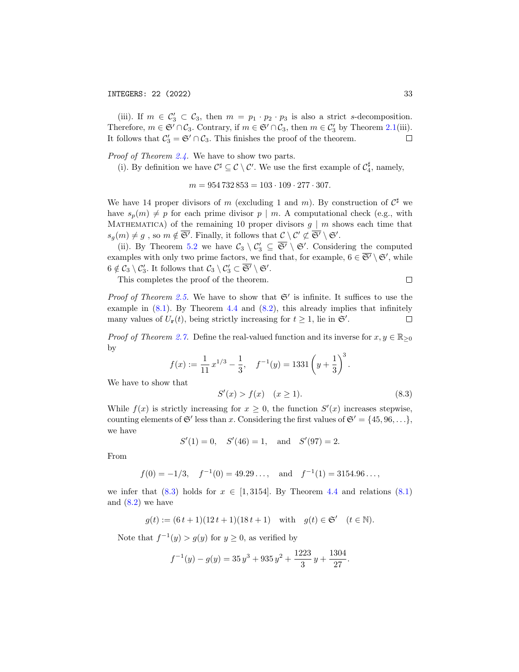(iii). If  $m \in C'_3 \subset C_3$ , then  $m = p_1 \cdot p_2 \cdot p_3$  is also a strict s-decomposition. Therefore,  $m \in \mathfrak{S}' \cap C_3$ . Contrary, if  $m \in \mathfrak{S}' \cap C_3$ , then  $m \in C'_3$  by Theorem [2.1\(](#page-6-0)iii). It follows that  $C_3' = \mathfrak{S}' \cap C_3$ . This finishes the proof of the theorem.  $\Box$ 

Proof of Theorem [2.4.](#page-7-2) We have to show two parts.

(i). By definition we have  $C^{\sharp} \subseteq C \setminus C'$ . We use the first example of  $C_4^{\sharp}$ , namely,

$$
m = 954\,732\,853 = 103 \cdot 109 \cdot 277 \cdot 307.
$$

We have 14 proper divisors of m (excluding 1 and m). By construction of  $\mathcal{C}^{\sharp}$  we have  $s_p(m) \neq p$  for each prime divisor  $p \mid m$ . A computational check (e.g., with MATHEMATICA) of the remaining 10 proper divisors  $g | m$  shows each time that  $s_g(m) \neq g$ , so  $m \notin \overline{\mathfrak{S}'}$ . Finally, it follows that  $\mathcal{C} \setminus \mathcal{C}' \not\subset \overline{\mathfrak{S}'} \setminus \mathfrak{S}'.$ 

(ii). By Theorem [5.2](#page-16-0) we have  $C_3 \setminus C_3 \subseteq \overline{\mathfrak{S}}' \setminus \mathfrak{S}'$ . Considering the computed examples with only two prime factors, we find that, for example,  $6 \in \overline{S'} \setminus \mathfrak{S}'$ , while  $6 \notin C_3 \setminus C'_3$ . It follows that  $C_3 \setminus C'_3 \subset \overline{\mathfrak{S}'} \setminus \mathfrak{S}'.$ 

This completes the proof of the theorem.

*Proof of Theorem [2.5.](#page-8-1)* We have to show that  $\mathfrak{S}'$  is infinite. It suffices to use the example in  $(8.1)$ . By Theorem [4.4](#page-13-0) and  $(8.2)$ , this already implies that infinitely many values of  $U_{\mathbf{r}}(t)$ , being strictly increasing for  $t \geq 1$ , lie in  $\mathfrak{S}'$ .  $\Box$ 

*Proof of Theorem [2.7.](#page-9-0)* Define the real-valued function and its inverse for  $x, y \in \mathbb{R}_{\geq 0}$ by

$$
f(x) := \frac{1}{11} x^{1/3} - \frac{1}{3}, \quad f^{-1}(y) = 1331 \left( y + \frac{1}{3} \right)^3.
$$

We have to show that

<span id="page-32-0"></span>
$$
S'(x) > f(x) \quad (x \ge 1). \tag{8.3}
$$

While  $f(x)$  is strictly increasing for  $x \geq 0$ , the function  $S'(x)$  increases stepwise, counting elements of  $\mathfrak{S}'$  less than x. Considering the first values of  $\mathfrak{S}' = \{45, 96, \ldots\},\$ we have

$$
S'(1) = 0
$$
,  $S'(46) = 1$ , and  $S'(97) = 2$ .

From

$$
f(0) = -1/3
$$
,  $f^{-1}(0) = 49.29...$ , and  $f^{-1}(1) = 3154.96...$ ,

we infer that  $(8.3)$  holds for  $x \in [1, 3154]$ . By Theorem [4.4](#page-13-0) and relations  $(8.1)$ and  $(8.2)$  we have

$$
g(t) := (6t+1)(12t+1)(18t+1)
$$
 with  $g(t) \in \mathfrak{S}'$   $(t \in \mathbb{N}).$ 

Note that  $f^{-1}(y) > g(y)$  for  $y \ge 0$ , as verified by

$$
f^{-1}(y) - g(y) = 35y^3 + 935y^2 + \frac{1223}{3}y + \frac{1304}{27}.
$$

 $\Box$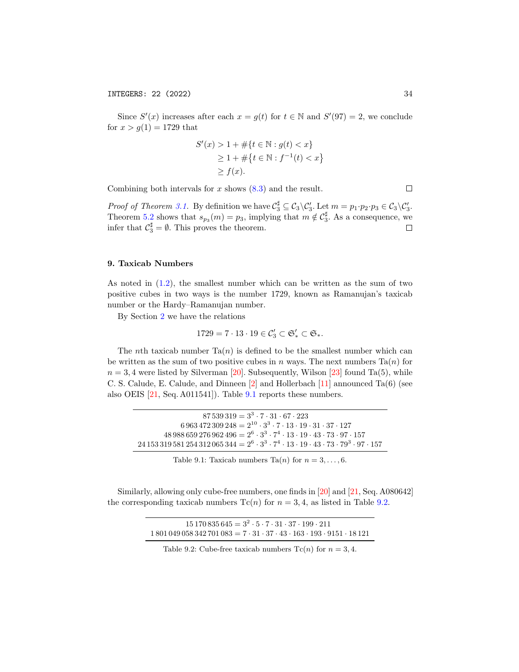Since  $S'(x)$  increases after each  $x = g(t)$  for  $t \in \mathbb{N}$  and  $S'(97) = 2$ , we conclude for  $x > g(1) = 1729$  that

$$
S'(x) > 1 + #\{t \in \mathbb{N} : g(t) < x\}
$$
\n
$$
\geq 1 + #\{t \in \mathbb{N} : f^{-1}(t) < x\}
$$
\n
$$
\geq f(x).
$$

Combining both intervals for  $x$  shows  $(8.3)$  and the result.

Proof of Theorem [3.1.](#page-9-1) By definition we have  $C_3^{\sharp} \subseteq C_3 \setminus C_3'$ . Let  $m = p_1 \cdot p_2 \cdot p_3 \in C_3 \setminus C_3'$ . Theorem [5.2](#page-16-0) shows that  $s_{p_3}(m) = p_3$ , implying that  $m \notin C_3^{\sharp}$ . As a consequence, we infer that  $\mathcal{C}_3^{\sharp} = \emptyset$ . This proves the theorem.  $\Box$ 

## <span id="page-33-0"></span>9. Taxicab Numbers

As noted in [\(1.2\)](#page-2-1), the smallest number which can be written as the sum of two positive cubes in two ways is the number 1729, known as Ramanujan's taxicab number or the Hardy–Ramanujan number.

By Section [2](#page-5-0) we have the relations

$$
1729=7\cdot 13\cdot 19\in \mathcal{C}_3'\subset \mathfrak{S}_*'\subset \mathfrak{S}_*.
$$

The nth taxicab number  $Ta(n)$  is defined to be the smallest number which can be written as the sum of two positive cubes in n ways. The next numbers  $Ta(n)$  for  $n = 3, 4$  were listed by Silverman [\[20\]](#page-38-5). Subsequently, Wilson [\[23\]](#page-38-16) found Ta(5), while C. S. Calude, E. Calude, and Dinneen [\[2\]](#page-38-17) and Hollerbach [\[11\]](#page-38-18) announced Ta(6) (see also OEIS [\[21,](#page-38-19) Seq. A011541]). Table [9.1](#page-33-1) reports these numbers.

<span id="page-33-1"></span>

| $87539319 = 3^3 \cdot 7 \cdot 31 \cdot 67 \cdot 223$                                                              |
|-------------------------------------------------------------------------------------------------------------------|
| $6\,963\,472\,309\,248 = 2^{10}\cdot3^3\cdot7\cdot13\cdot19\cdot31\cdot37\cdot127$                                |
| $48988659276962496 = 2^6 \cdot 3^3 \cdot 7^4 \cdot 13 \cdot 19 \cdot 43 \cdot 73 \cdot 97 \cdot 157$              |
| $24\,153\,319\,581\,254\,312\,065\,344 = 2^6\cdot3^3\cdot7^4\cdot13\cdot19\cdot43\cdot73\cdot79^3\cdot97\cdot157$ |

Table 9.1: Taxicab numbers Ta $(n)$  for  $n = 3, \ldots, 6$ .

<span id="page-33-2"></span>Similarly, allowing only cube-free numbers, one finds in [\[20\]](#page-38-5) and [\[21,](#page-38-19) Seq. A080642] the corresponding taxicab numbers  $Tc(n)$  for  $n = 3, 4$ , as listed in Table [9.2.](#page-33-2)

| $15170835645 = 3^2 \cdot 5 \cdot 7 \cdot 31 \cdot 37 \cdot 199 \cdot 211$                       |
|-------------------------------------------------------------------------------------------------|
| $1801049058342701083 = 7 \cdot 31 \cdot 37 \cdot 43 \cdot 163 \cdot 193 \cdot 9151 \cdot 18121$ |

| Table 9.2: Cube-free taxicab numbers $Tc(n)$ for $n = 3, 4$ . |  |  |  |
|---------------------------------------------------------------|--|--|--|
|---------------------------------------------------------------|--|--|--|

 $\Box$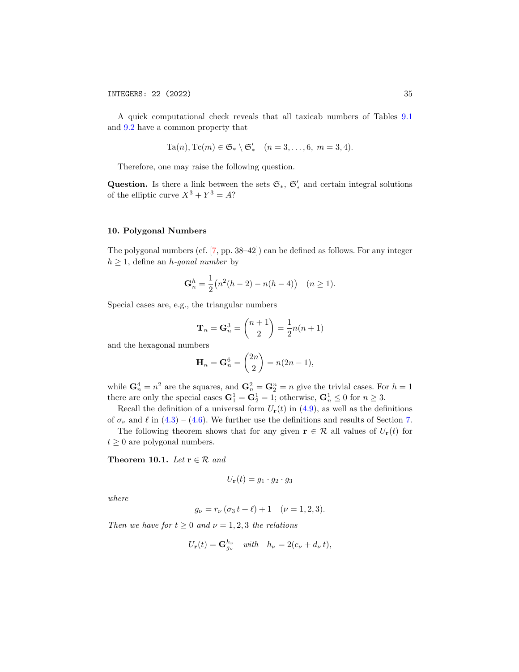A quick computational check reveals that all taxicab numbers of Tables [9.1](#page-33-1) and [9.2](#page-33-2) have a common property that

$$
Ta(n), Tc(m) \in \mathfrak{S}_* \setminus \mathfrak{S}'_* \quad (n = 3, \dots, 6, m = 3, 4).
$$

Therefore, one may raise the following question.

Question. Is there a link between the sets  $\mathfrak{S}_{*}$ ,  $\mathfrak{S}'_{*}$  and certain integral solutions of the elliptic curve  $X^3 + Y^3 = A$ ?

## <span id="page-34-0"></span>10. Polygonal Numbers

The polygonal numbers (cf. [\[7,](#page-38-20) pp. 38–42]) can be defined as follows. For any integer  $h \geq 1$ , define an *h*-gonal number by

$$
\mathbf{G}_n^h = \frac{1}{2} \big( n^2 (h-2) - n(h-4) \big) \quad (n \ge 1).
$$

Special cases are, e.g., the triangular numbers

$$
\mathbf{T}_n = \mathbf{G}_n^3 = \binom{n+1}{2} = \frac{1}{2}n(n+1)
$$

and the hexagonal numbers

$$
\mathbf{H}_n = \mathbf{G}_n^6 = \binom{2n}{2} = n(2n-1),
$$

while  $\mathbf{G}_n^4 = n^2$  are the squares, and  $\mathbf{G}_n^2 = \mathbf{G}_2^n = n$  give the trivial cases. For  $h = 1$ there are only the special cases  $G_1^1 = G_2^1 = 1$ ; otherwise,  $G_n^1 \leq 0$  for  $n \geq 3$ .

Recall the definition of a universal form  $U_{\bf r}(t)$  in [\(4.9\)](#page-12-1), as well as the definitions of  $\sigma_{\nu}$  and  $\ell$  in [\(4.3\)](#page-11-2) – [\(4.6\)](#page-11-1). We further use the definitions and results of Section [7.](#page-19-5)

The following theorem shows that for any given  $\mathbf{r} \in \mathcal{R}$  all values of  $U_{\mathbf{r}}(t)$  for  $t \geq 0$  are polygonal numbers.

<span id="page-34-1"></span>Theorem 10.1. Let  $\mathbf{r} \in \mathcal{R}$  and

$$
U_{\mathbf{r}}(t) = g_1 \cdot g_2 \cdot g_3
$$

where

$$
g_{\nu} = r_{\nu} (\sigma_3 t + \ell) + 1 \quad (\nu = 1, 2, 3).
$$

Then we have for  $t \geq 0$  and  $\nu = 1, 2, 3$  the relations

$$
U_{\mathbf{r}}(t) = \mathbf{G}_{g_{\nu}}^{h_{\nu}} \quad \text{with} \quad h_{\nu} = 2(c_{\nu} + d_{\nu} t),
$$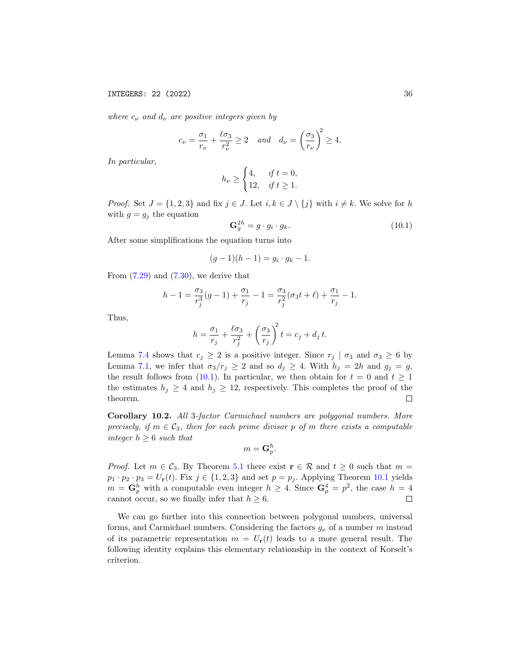where  $c_{\nu}$  and  $d_{\nu}$  are positive integers given by

$$
c_{\nu} = \frac{\sigma_1}{r_{\nu}} + \frac{\ell \sigma_3}{r_{\nu}^2} \ge 2
$$
 and  $d_{\nu} = \left(\frac{\sigma_3}{r_{\nu}}\right)^2 \ge 4$ .

In particular,

$$
h_{\nu} \ge \begin{cases} 4, & \text{if } t = 0, \\ 12, & \text{if } t \ge 1. \end{cases}
$$

*Proof.* Set  $J = \{1, 2, 3\}$  and fix  $j \in J$ . Let  $i, k \in J \setminus \{j\}$  with  $i \neq k$ . We solve for h with  $g = g_i$  the equation

<span id="page-35-0"></span>
$$
\mathbf{G}_g^{2h} = g \cdot g_i \cdot g_k. \tag{10.1}
$$

After some simplifications the equation turns into

$$
(g-1)(h-1) = g_i \cdot g_k - 1.
$$

From  $(7.29)$  and  $(7.30)$ , we derive that

$$
h-1 = \frac{\sigma_3}{r_j^3}(g-1) + \frac{\sigma_1}{r_j} - 1 = \frac{\sigma_3}{r_j^2}(\sigma_3 t + \ell) + \frac{\sigma_1}{r_j} - 1.
$$

Thus,

$$
h = \frac{\sigma_1}{r_j} + \frac{\ell \sigma_3}{r_j^2} + \left(\frac{\sigma_3}{r_j}\right)^2 t = c_j + d_j t.
$$

Lemma [7.4](#page-20-5) shows that  $c_i \geq 2$  is a positive integer. Since  $r_j \mid \sigma_3$  and  $\sigma_3 \geq 6$  by Lemma [7.1,](#page-19-1) we infer that  $\sigma_3/r_j \geq 2$  and so  $d_j \geq 4$ . With  $h_j = 2h$  and  $g_j = g$ , the result follows from [\(10.1\)](#page-35-0). In particular, we then obtain for  $t = 0$  and  $t \ge 1$ the estimates  $h_j \geq 4$  and  $h_j \geq 12$ , respectively. This completes the proof of the theorem.  $\Box$ 

Corollary 10.2. All 3-factor Carmichael numbers are polygonal numbers. More precisely, if  $m \in \mathcal{C}_3$ , then for each prime divisor p of m there exists a computable integer  $h \geq 6$  such that

$$
m = \mathbf{G}_p^h.
$$

*Proof.* Let  $m \in C_3$ . By Theorem [5.1](#page-16-1) there exist  $\mathbf{r} \in \mathcal{R}$  and  $t \geq 0$  such that  $m =$  $p_1 \cdot p_2 \cdot p_3 = U_r(t)$ . Fix  $j \in \{1, 2, 3\}$  and set  $p = p_j$ . Applying Theorem [10.1](#page-34-1) yields  $m = \mathbf{G}_p^h$  with a computable even integer  $h \geq 4$ . Since  $\mathbf{G}_p^4 = p^2$ , the case  $h = 4$ cannot occur, so we finally infer that  $h \geq 6$ .  $\Box$ 

We can go further into this connection between polygonal numbers, universal forms, and Carmichael numbers. Considering the factors  $g_{\nu}$  of a number m instead of its parametric representation  $m = U_{\mathbf{r}}(t)$  leads to a more general result. The following identity explains this elementary relationship in the context of Korselt's criterion.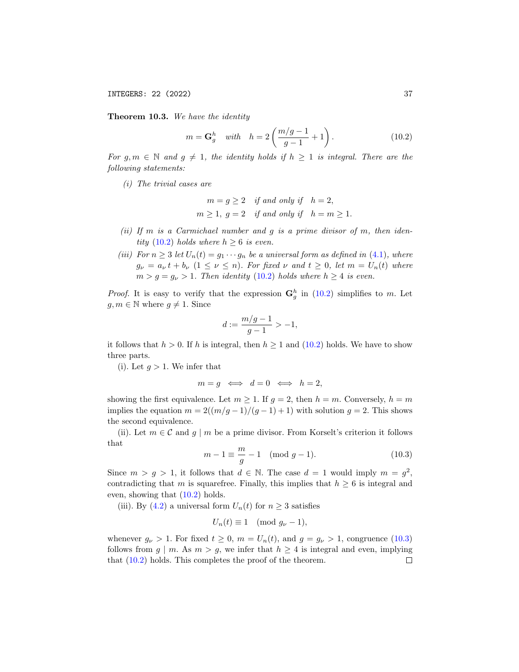INTEGERS: 22 (2022) 37

<span id="page-36-2"></span>Theorem 10.3. We have the identity

<span id="page-36-0"></span>
$$
m = \mathbf{G}_g^h \quad \text{with} \quad h = 2\left(\frac{m/g - 1}{g - 1} + 1\right). \tag{10.2}
$$

For g,  $m \in \mathbb{N}$  and  $g \neq 1$ , the identity holds if  $h \geq 1$  is integral. There are the following statements:

(i) The trivial cases are

$$
m = g \ge 2 \quad \text{if and only if} \quad h = 2,
$$
  

$$
m \ge 1, \ g = 2 \quad \text{if and only if} \quad h = m \ge 1.
$$

- (ii) If m is a Carmichael number and  $g$  is a prime divisor of m, then iden-tity [\(10.2\)](#page-36-0) holds where  $h \geq 6$  is even.
- (iii) For  $n \geq 3$  let  $U_n(t) = g_1 \cdots g_n$  be a universal form as defined in [\(4.1\)](#page-10-3), where  $g_{\nu} = a_{\nu} t + b_{\nu} (1 \leq \nu \leq n)$ . For fixed  $\nu$  and  $t \geq 0$ , let  $m = U_n(t)$  where  $m > g = g_{\nu} > 1$ . Then identity [\(10.2\)](#page-36-0) holds where  $h \geq 4$  is even.

*Proof.* It is easy to verify that the expression  $\mathbf{G}_g^h$  in [\(10.2\)](#page-36-0) simplifies to m. Let  $g, m \in \mathbb{N}$  where  $g \neq 1$ . Since

$$
d := \frac{m/g - 1}{g - 1} > -1,
$$

it follows that  $h > 0$ . If h is integral, then  $h \ge 1$  and  $(10.2)$  holds. We have to show three parts.

(i). Let  $g > 1$ . We infer that

$$
m = g \iff d = 0 \iff h = 2,
$$

showing the first equivalence. Let  $m \geq 1$ . If  $g = 2$ , then  $h = m$ . Conversely,  $h = m$ implies the equation  $m = 2((m/g - 1)/(g - 1) + 1)$  with solution  $g = 2$ . This shows the second equivalence.

(ii). Let  $m \in \mathcal{C}$  and  $g \mid m$  be a prime divisor. From Korselt's criterion it follows that

<span id="page-36-1"></span>
$$
m - 1 \equiv \frac{m}{g} - 1 \pmod{g - 1}.
$$
 (10.3)

Since  $m > g > 1$ , it follows that  $d \in \mathbb{N}$ . The case  $d = 1$  would imply  $m = g^2$ , contradicting that m is squarefree. Finally, this implies that  $h \geq 6$  is integral and even, showing that [\(10.2\)](#page-36-0) holds.

(iii). By [\(4.2\)](#page-11-7) a universal form  $U_n(t)$  for  $n \geq 3$  satisfies

$$
U_n(t) \equiv 1 \pmod{g_{\nu}-1},
$$

whenever  $g_{\nu} > 1$ . For fixed  $t \geq 0$ ,  $m = U_n(t)$ , and  $g = g_{\nu} > 1$ , congruence [\(10.3\)](#page-36-1) follows from  $g \mid m$ . As  $m > g$ , we infer that  $h \geq 4$  is integral and even, implying that  $(10.2)$  holds. This completes the proof of the theorem.  $\Box$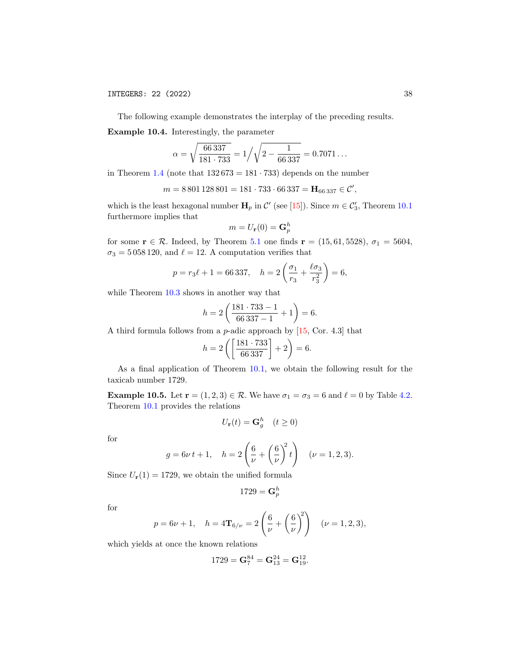The following example demonstrates the interplay of the preceding results.

Example 10.4. Interestingly, the parameter

$$
\alpha = \sqrt{\frac{66\,337}{181\cdot 733}} = 1/\sqrt{2 - \frac{1}{66\,337}} = 0.7071\ldots
$$

in Theorem [1.4](#page-1-1) (note that  $132673 = 181 \cdot 733$ ) depends on the number

$$
m = 8801128801 = 181 \cdot 733 \cdot 66337 = \mathbf{H}_{66337} \in \mathcal{C}',
$$

which is the least hexagonal number  $\mathbf{H}_p$  in  $\mathcal{C}'$  (see [\[15\]](#page-38-3)). Since  $m \in \mathcal{C}'_3$ , Theorem [10.1](#page-34-1) furthermore implies that

$$
m=U_{\mathbf{r}}(0)=\mathbf{G}_p^h
$$

for some  $\mathbf{r} \in \mathcal{R}$ . Indeed, by Theorem [5.1](#page-16-1) one finds  $\mathbf{r} = (15, 61, 5528), \sigma_1 = 5604,$  $\sigma_3 = 5\,058\,120,$  and  $\ell = 12.$  A computation verifies that

$$
p = r_3 \ell + 1 = 66337
$$
,  $h = 2 \left( \frac{\sigma_1}{r_3} + \frac{\ell \sigma_3}{r_3^2} \right) = 6$ ,

while Theorem  $10.3$  shows in another way that

$$
h = 2\left(\frac{181 \cdot 733 - 1}{66337 - 1} + 1\right) = 6.
$$

A third formula follows from a p-adic approach by [\[15,](#page-38-3) Cor. 4.3] that

$$
h = 2\left(\left[\frac{181 \cdot 733}{66\,337}\right] + 2\right) = 6.
$$

As a final application of Theorem [10.1,](#page-34-1) we obtain the following result for the taxicab number 1729.

**Example 10.5.** Let  $\mathbf{r} = (1, 2, 3) \in \mathcal{R}$ . We have  $\sigma_1 = \sigma_3 = 6$  and  $\ell = 0$  by Table [4.2.](#page-14-0) Theorem [10.1](#page-34-1) provides the relations

$$
U_{\mathbf{r}}(t) = \mathbf{G}_g^h \quad (t \ge 0)
$$

for

$$
g = 6\nu t + 1
$$
,  $h = 2\left(\frac{6}{\nu} + \left(\frac{6}{\nu}\right)^2 t\right)$  ( $\nu = 1, 2, 3$ ).

Since  $U_{\mathbf{r}}(1) = 1729$ , we obtain the unified formula

$$
1729 = \mathbf{G}_p^h
$$

for

$$
p = 6\nu + 1
$$
,  $h = 4\mathbf{T}_{6/\nu} = 2\left(\frac{6}{\nu} + \left(\frac{6}{\nu}\right)^2\right)$  ( $\nu = 1, 2, 3$ ),

which yields at once the known relations

$$
1729 = \mathbf{G}_7^{84} = \mathbf{G}_{13}^{24} = \mathbf{G}_{19}^{12}.
$$